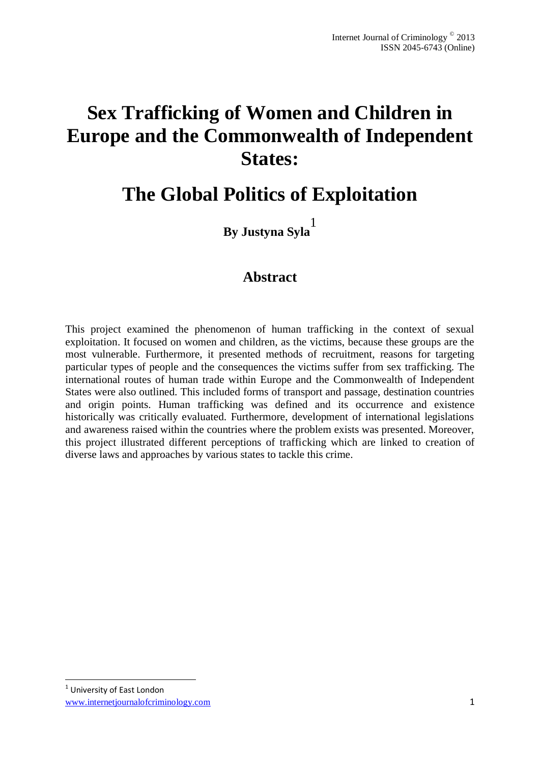# **Sex Trafficking of Women and Children in Europe and the Commonwealth of Independent States:**

# **The Global Politics of Exploitation**

**By Justyna Syla** 1

# **Abstract**

This project examined the phenomenon of human trafficking in the context of sexual exploitation. It focused on women and children, as the victims, because these groups are the most vulnerable. Furthermore, it presented methods of recruitment, reasons for targeting particular types of people and the consequences the victims suffer from sex trafficking. The international routes of human trade within Europe and the Commonwealth of Independent States were also outlined. This included forms of transport and passage, destination countries and origin points. Human trafficking was defined and its occurrence and existence historically was critically evaluated. Furthermore, development of international legislations and awareness raised within the countries where the problem exists was presented. Moreover, this project illustrated different perceptions of trafficking which are linked to creation of diverse laws and approaches by various states to tackle this crime.

1

www.internetjournalofcriminology.com 1 <sup>1</sup> University of East London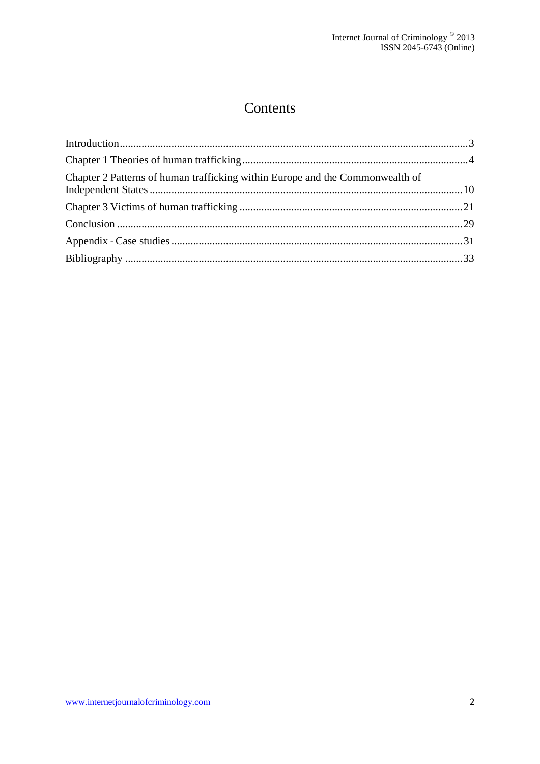# Contents

| Chapter 2 Patterns of human trafficking within Europe and the Commonwealth of |  |
|-------------------------------------------------------------------------------|--|
|                                                                               |  |
|                                                                               |  |
|                                                                               |  |
|                                                                               |  |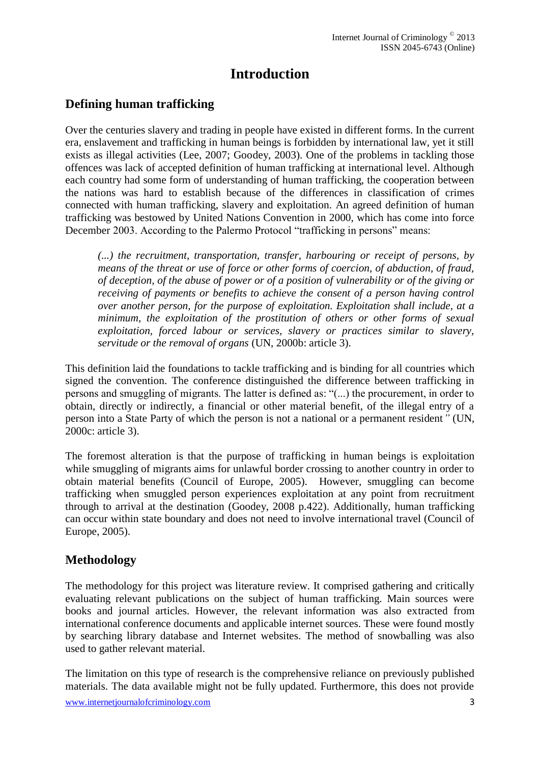# **Introduction**

# <span id="page-2-0"></span>**Defining human trafficking**

Over the centuries slavery and trading in people have existed in different forms. In the current era, enslavement and trafficking in human beings is forbidden by international law, yet it still exists as illegal activities (Lee, 2007; Goodey, 2003). One of the problems in tackling those offences was lack of accepted definition of human trafficking at international level. Although each country had some form of understanding of human trafficking, the cooperation between the nations was hard to establish because of the differences in classification of crimes connected with human trafficking, slavery and exploitation. An agreed definition of human trafficking was bestowed by United Nations Convention in 2000, which has come into force December 2003. According to the Palermo Protocol "trafficking in persons" means:

*(...) the recruitment, transportation, transfer, harbouring or receipt of persons, by means of the threat or use of force or other forms of coercion, of abduction, of fraud, of deception, of the abuse of power or of a position of vulnerability or of the giving or receiving of payments or benefits to achieve the consent of a person having control over another person, for the purpose of exploitation. Exploitation shall include, at a minimum, the exploitation of the prostitution of others or other forms of sexual exploitation, forced labour or services, slavery or practices similar to slavery, servitude or the removal of organs* (UN, 2000b: article 3).

This definition laid the foundations to tackle trafficking and is binding for all countries which signed the convention. The conference distinguished the difference between trafficking in persons and smuggling of migrants. The latter is defined as: "(...) the procurement, in order to obtain, directly or indirectly, a financial or other material benefit, of the illegal entry of a person into a State Party of which the person is not a national or a permanent resident*"* (UN, 2000c: article 3).

The foremost alteration is that the purpose of trafficking in human beings is exploitation while smuggling of migrants aims for unlawful border crossing to another country in order to obtain material benefits (Council of Europe, 2005). However, smuggling can become trafficking when smuggled person experiences exploitation at any point from recruitment through to arrival at the destination (Goodey, 2008 p.422). Additionally, human trafficking can occur within state boundary and does not need to involve international travel (Council of Europe, 2005).

# **Methodology**

The methodology for this project was literature review. It comprised gathering and critically evaluating relevant publications on the subject of human trafficking. Main sources were books and journal articles. However, the relevant information was also extracted from international conference documents and applicable internet sources. These were found mostly by searching library database and Internet websites. The method of snowballing was also used to gather relevant material.

The limitation on this type of research is the comprehensive reliance on previously published materials. The data available might not be fully updated. Furthermore, this does not provide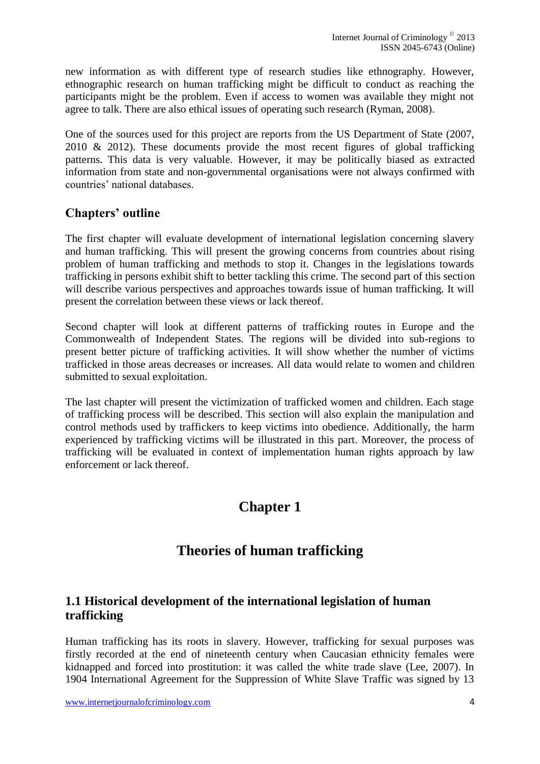new information as with different type of research studies like ethnography. However, ethnographic research on human trafficking might be difficult to conduct as reaching the participants might be the problem. Even if access to women was available they might not agree to talk. There are also ethical issues of operating such research (Ryman, 2008).

One of the sources used for this project are reports from the US Department of State (2007, 2010 & 2012). These documents provide the most recent figures of global trafficking patterns. This data is very valuable. However, it may be politically biased as extracted information from state and non-governmental organisations were not always confirmed with countries' national databases.

### **Chapters' outline**

The first chapter will evaluate development of international legislation concerning slavery and human trafficking. This will present the growing concerns from countries about rising problem of human trafficking and methods to stop it. Changes in the legislations towards trafficking in persons exhibit shift to better tackling this crime. The second part of this section will describe various perspectives and approaches towards issue of human trafficking. It will present the correlation between these views or lack thereof.

Second chapter will look at different patterns of trafficking routes in Europe and the Commonwealth of Independent States. The regions will be divided into sub-regions to present better picture of trafficking activities. It will show whether the number of victims trafficked in those areas decreases or increases. All data would relate to women and children submitted to sexual exploitation.

<span id="page-3-0"></span>The last chapter will present the victimization of trafficked women and children. Each stage of trafficking process will be described. This section will also explain the manipulation and control methods used by traffickers to keep victims into obedience. Additionally, the harm experienced by trafficking victims will be illustrated in this part. Moreover, the process of trafficking will be evaluated in context of implementation human rights approach by law enforcement or lack thereof.

# **Chapter 1**

# **Theories of human trafficking**

# **1.1 Historical development of the international legislation of human trafficking**

Human trafficking has its roots in slavery. However, trafficking for sexual purposes was firstly recorded at the end of nineteenth century when Caucasian ethnicity females were kidnapped and forced into prostitution: it was called the white trade slave (Lee, 2007). In 1904 International Agreement for the Suppression of White Slave Traffic was signed by 13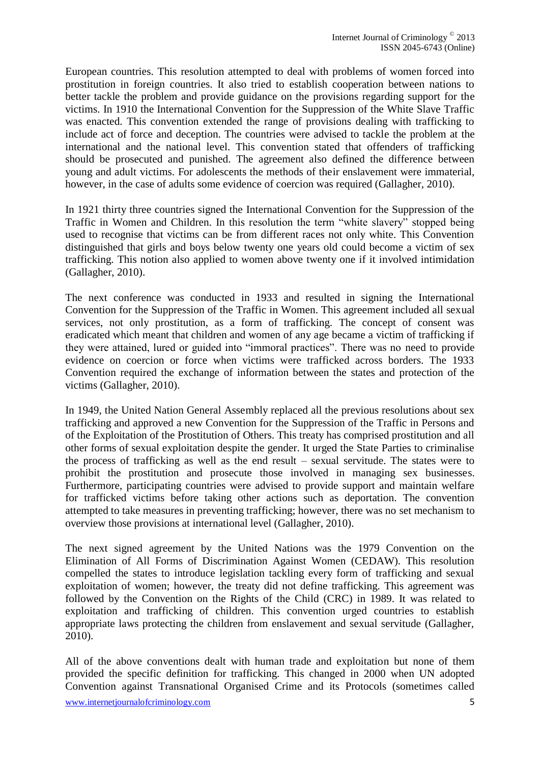European countries. This resolution attempted to deal with problems of women forced into prostitution in foreign countries. It also tried to establish cooperation between nations to better tackle the problem and provide guidance on the provisions regarding support for the victims. In 1910 the International Convention for the Suppression of the White Slave Traffic was enacted. This convention extended the range of provisions dealing with trafficking to include act of force and deception. The countries were advised to tackle the problem at the international and the national level. This convention stated that offenders of trafficking should be prosecuted and punished. The agreement also defined the difference between young and adult victims. For adolescents the methods of their enslavement were immaterial, however, in the case of adults some evidence of coercion was required (Gallagher, 2010).

In 1921 thirty three countries signed the International Convention for the Suppression of the Traffic in Women and Children. In this resolution the term "white slavery" stopped being used to recognise that victims can be from different races not only white. This Convention distinguished that girls and boys below twenty one years old could become a victim of sex trafficking. This notion also applied to women above twenty one if it involved intimidation (Gallagher, 2010).

The next conference was conducted in 1933 and resulted in signing the International Convention for the Suppression of the Traffic in Women. This agreement included all sexual services, not only prostitution, as a form of trafficking. The concept of consent was eradicated which meant that children and women of any age became a victim of trafficking if they were attained, lured or guided into "immoral practices". There was no need to provide evidence on coercion or force when victims were trafficked across borders. The 1933 Convention required the exchange of information between the states and protection of the victims (Gallagher, 2010).

In 1949, the United Nation General Assembly replaced all the previous resolutions about sex trafficking and approved a new Convention for the Suppression of the Traffic in Persons and of the Exploitation of the Prostitution of Others. This treaty has comprised prostitution and all other forms of sexual exploitation despite the gender. It urged the State Parties to criminalise the process of trafficking as well as the end result – sexual servitude. The states were to prohibit the prostitution and prosecute those involved in managing sex businesses. Furthermore, participating countries were advised to provide support and maintain welfare for trafficked victims before taking other actions such as deportation. The convention attempted to take measures in preventing trafficking; however, there was no set mechanism to overview those provisions at international level (Gallagher, 2010).

The next signed agreement by the United Nations was the 1979 Convention on the Elimination of All Forms of Discrimination Against Women (CEDAW). This resolution compelled the states to introduce legislation tackling every form of trafficking and sexual exploitation of women; however, the treaty did not define trafficking. This agreement was followed by the Convention on the Rights of the Child (CRC) in 1989. It was related to exploitation and trafficking of children. This convention urged countries to establish appropriate laws protecting the children from enslavement and sexual servitude (Gallagher, 2010).

All of the above conventions dealt with human trade and exploitation but none of them provided the specific definition for trafficking. This changed in 2000 when UN adopted Convention against Transnational Organised Crime and its Protocols (sometimes called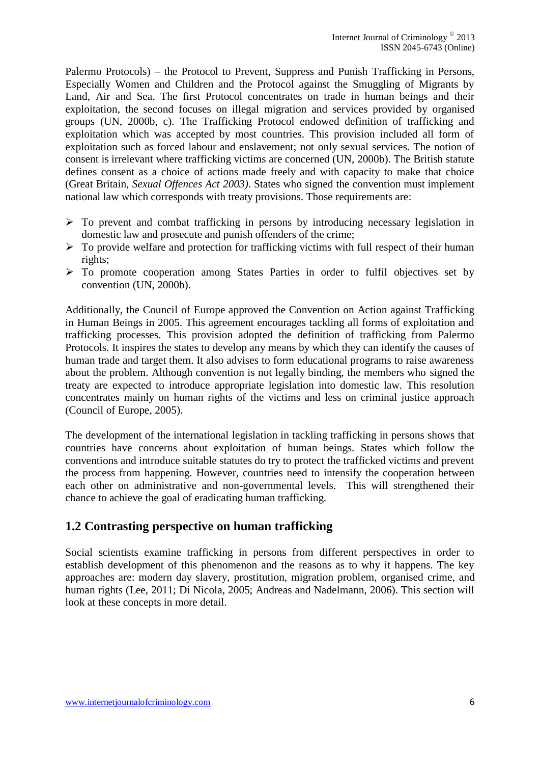Palermo Protocols) – the Protocol to Prevent, Suppress and Punish Trafficking in Persons, Especially Women and Children and the Protocol against the Smuggling of Migrants by Land, Air and Sea. The first Protocol concentrates on trade in human beings and their exploitation, the second focuses on illegal migration and services provided by organised groups (UN, 2000b, c). The Trafficking Protocol endowed definition of trafficking and exploitation which was accepted by most countries. This provision included all form of exploitation such as forced labour and enslavement; not only sexual services. The notion of consent is irrelevant where trafficking victims are concerned (UN, 2000b). The British statute defines consent as a choice of actions made freely and with capacity to make that choice (Great Britain, *Sexual Offences Act 2003)*. States who signed the convention must implement national law which corresponds with treaty provisions. Those requirements are:

- $\triangleright$  To prevent and combat trafficking in persons by introducing necessary legislation in domestic law and prosecute and punish offenders of the crime;
- $\triangleright$  To provide welfare and protection for trafficking victims with full respect of their human rights;
- To promote cooperation among States Parties in order to fulfil objectives set by convention (UN, 2000b).

Additionally, the Council of Europe approved the Convention on Action against Trafficking in Human Beings in 2005. This agreement encourages tackling all forms of exploitation and trafficking processes. This provision adopted the definition of trafficking from Palermo Protocols. It inspires the states to develop any means by which they can identify the causes of human trade and target them. It also advises to form educational programs to raise awareness about the problem. Although convention is not legally binding, the members who signed the treaty are expected to introduce appropriate legislation into domestic law. This resolution concentrates mainly on human rights of the victims and less on criminal justice approach (Council of Europe, 2005).

The development of the international legislation in tackling trafficking in persons shows that countries have concerns about exploitation of human beings. States which follow the conventions and introduce suitable statutes do try to protect the trafficked victims and prevent the process from happening. However, countries need to intensify the cooperation between each other on administrative and non-governmental levels. This will strengthened their chance to achieve the goal of eradicating human trafficking.

### **1.2 Contrasting perspective on human trafficking**

Social scientists examine trafficking in persons from different perspectives in order to establish development of this phenomenon and the reasons as to why it happens. The key approaches are: modern day slavery, prostitution, migration problem, organised crime, and human rights (Lee, 2011; Di Nicola, 2005; Andreas and Nadelmann, 2006). This section will look at these concepts in more detail.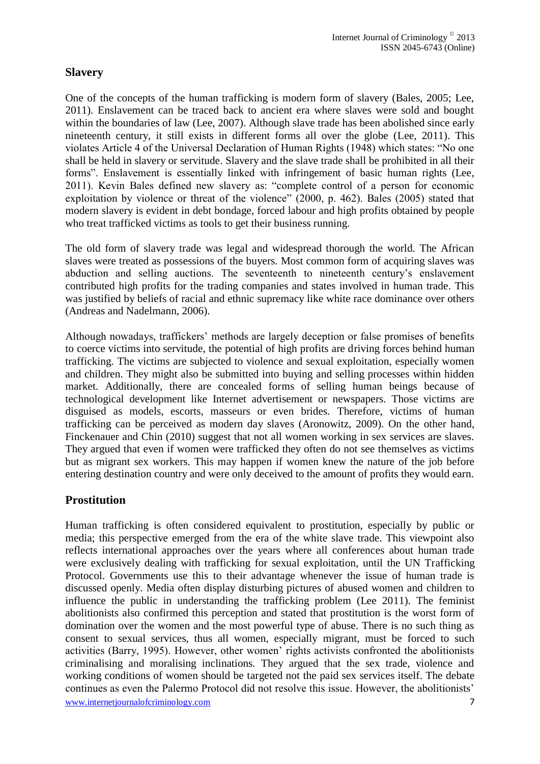### **Slavery**

One of the concepts of the human trafficking is modern form of slavery (Bales, 2005; Lee, 2011). Enslavement can be traced back to ancient era where slaves were sold and bought within the boundaries of law (Lee, 2007). Although slave trade has been abolished since early nineteenth century, it still exists in different forms all over the globe (Lee, 2011). This violates Article 4 of the Universal Declaration of Human Rights (1948) which states: "No one shall be held in slavery or servitude. Slavery and the slave trade shall be prohibited in all their forms". Enslavement is essentially linked with infringement of basic human rights (Lee, 2011). Kevin Bales defined new slavery as: "complete control of a person for economic exploitation by violence or threat of the violence" (2000, p. 462). Bales (2005) stated that modern slavery is evident in debt bondage, forced labour and high profits obtained by people who treat trafficked victims as tools to get their business running.

The old form of slavery trade was legal and widespread thorough the world. The African slaves were treated as possessions of the buyers. Most common form of acquiring slaves was abduction and selling auctions. The seventeenth to nineteenth century's enslavement contributed high profits for the trading companies and states involved in human trade. This was justified by beliefs of racial and ethnic supremacy like white race dominance over others (Andreas and Nadelmann, 2006).

Although nowadays, traffickers' methods are largely deception or false promises of benefits to coerce victims into servitude, the potential of high profits are driving forces behind human trafficking. The victims are subjected to violence and sexual exploitation, especially women and children. They might also be submitted into buying and selling processes within hidden market. Additionally, there are concealed forms of selling human beings because of technological development like Internet advertisement or newspapers. Those victims are disguised as models, escorts, masseurs or even brides. Therefore, victims of human trafficking can be perceived as modern day slaves (Aronowitz, 2009). On the other hand, Finckenauer and Chin (2010) suggest that not all women working in sex services are slaves. They argued that even if women were trafficked they often do not see themselves as victims but as migrant sex workers. This may happen if women knew the nature of the job before entering destination country and were only deceived to the amount of profits they would earn.

#### **Prostitution**

www.internetjournalofcriminology.com 7 Human trafficking is often considered equivalent to prostitution, especially by public or media; this perspective emerged from the era of the white slave trade. This viewpoint also reflects international approaches over the years where all conferences about human trade were exclusively dealing with trafficking for sexual exploitation, until the UN Trafficking Protocol. Governments use this to their advantage whenever the issue of human trade is discussed openly. Media often display disturbing pictures of abused women and children to influence the public in understanding the trafficking problem (Lee 2011). The feminist abolitionists also confirmed this perception and stated that prostitution is the worst form of domination over the women and the most powerful type of abuse. There is no such thing as consent to sexual services, thus all women, especially migrant, must be forced to such activities (Barry, 1995). However, other women' rights activists confronted the abolitionists criminalising and moralising inclinations. They argued that the sex trade, violence and working conditions of women should be targeted not the paid sex services itself. The debate continues as even the Palermo Protocol did not resolve this issue. However, the abolitionists'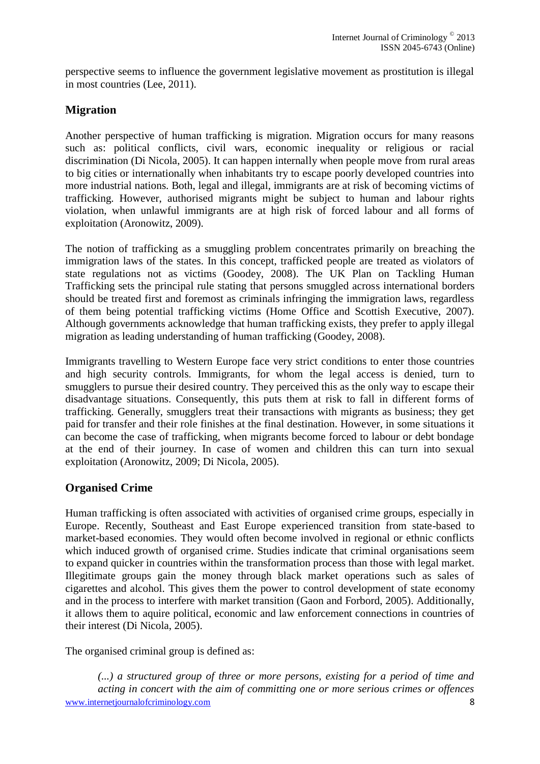perspective seems to influence the government legislative movement as prostitution is illegal in most countries (Lee, 2011).

### **Migration**

Another perspective of human trafficking is migration. Migration occurs for many reasons such as: political conflicts, civil wars, economic inequality or religious or racial discrimination (Di Nicola, 2005). It can happen internally when people move from rural areas to big cities or internationally when inhabitants try to escape poorly developed countries into more industrial nations. Both, legal and illegal, immigrants are at risk of becoming victims of trafficking. However, authorised migrants might be subject to human and labour rights violation, when unlawful immigrants are at high risk of forced labour and all forms of exploitation (Aronowitz, 2009).

The notion of trafficking as a smuggling problem concentrates primarily on breaching the immigration laws of the states. In this concept, trafficked people are treated as violators of state regulations not as victims (Goodey, 2008). The UK Plan on Tackling Human Trafficking sets the principal rule stating that persons smuggled across international borders should be treated first and foremost as criminals infringing the immigration laws, regardless of them being potential trafficking victims (Home Office and Scottish Executive, 2007). Although governments acknowledge that human trafficking exists, they prefer to apply illegal migration as leading understanding of human trafficking (Goodey, 2008).

Immigrants travelling to Western Europe face very strict conditions to enter those countries and high security controls. Immigrants, for whom the legal access is denied, turn to smugglers to pursue their desired country. They perceived this as the only way to escape their disadvantage situations. Consequently, this puts them at risk to fall in different forms of trafficking. Generally, smugglers treat their transactions with migrants as business; they get paid for transfer and their role finishes at the final destination. However, in some situations it can become the case of trafficking, when migrants become forced to labour or debt bondage at the end of their journey. In case of women and children this can turn into sexual exploitation (Aronowitz, 2009; Di Nicola, 2005).

#### **Organised Crime**

Human trafficking is often associated with activities of organised crime groups, especially in Europe. Recently, Southeast and East Europe experienced transition from state-based to market-based economies. They would often become involved in regional or ethnic conflicts which induced growth of organised crime. Studies indicate that criminal organisations seem to expand quicker in countries within the transformation process than those with legal market. Illegitimate groups gain the money through black market operations such as sales of cigarettes and alcohol. This gives them the power to control development of state economy and in the process to interfere with market transition (Gaon and Forbord, 2005). Additionally, it allows them to aquire political, economic and law enforcement connections in countries of their interest (Di Nicola, 2005).

The organised criminal group is defined as:

www.internetjournalofcriminology.com 8 *(...) a structured group of three or more persons, existing for a period of time and acting in concert with the aim of committing one or more serious crimes or offences*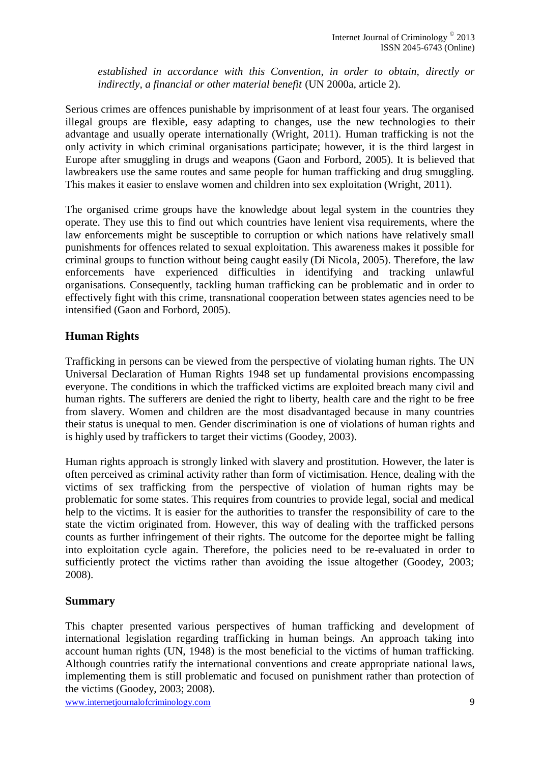*established in accordance with this Convention, in order to obtain, directly or indirectly, a financial or other material benefit* (UN 2000a, article 2).

Serious crimes are offences punishable by imprisonment of at least four years. The organised illegal groups are flexible, easy adapting to changes, use the new technologies to their advantage and usually operate internationally (Wright, 2011). Human trafficking is not the only activity in which criminal organisations participate; however, it is the third largest in Europe after smuggling in drugs and weapons (Gaon and Forbord, 2005). It is believed that lawbreakers use the same routes and same people for human trafficking and drug smuggling. This makes it easier to enslave women and children into sex exploitation (Wright, 2011).

The organised crime groups have the knowledge about legal system in the countries they operate. They use this to find out which countries have lenient visa requirements, where the law enforcements might be susceptible to corruption or which nations have relatively small punishments for offences related to sexual exploitation. This awareness makes it possible for criminal groups to function without being caught easily (Di Nicola, 2005). Therefore, the law enforcements have experienced difficulties in identifying and tracking unlawful organisations. Consequently, tackling human trafficking can be problematic and in order to effectively fight with this crime, transnational cooperation between states agencies need to be intensified (Gaon and Forbord, 2005).

#### **Human Rights**

Trafficking in persons can be viewed from the perspective of violating human rights. The UN Universal Declaration of Human Rights 1948 set up fundamental provisions encompassing everyone. The conditions in which the trafficked victims are exploited breach many civil and human rights. The sufferers are denied the right to liberty, health care and the right to be free from slavery. Women and children are the most disadvantaged because in many countries their status is unequal to men. Gender discrimination is one of violations of human rights and is highly used by traffickers to target their victims (Goodey, 2003).

Human rights approach is strongly linked with slavery and prostitution. However, the later is often perceived as criminal activity rather than form of victimisation. Hence, dealing with the victims of sex trafficking from the perspective of violation of human rights may be problematic for some states. This requires from countries to provide legal, social and medical help to the victims. It is easier for the authorities to transfer the responsibility of care to the state the victim originated from. However, this way of dealing with the trafficked persons counts as further infringement of their rights. The outcome for the deportee might be falling into exploitation cycle again. Therefore, the policies need to be re-evaluated in order to sufficiently protect the victims rather than avoiding the issue altogether (Goodey, 2003; 2008).

#### **Summary**

This chapter presented various perspectives of human trafficking and development of international legislation regarding trafficking in human beings. An approach taking into account human rights (UN, 1948) is the most beneficial to the victims of human trafficking. Although countries ratify the international conventions and create appropriate national laws, implementing them is still problematic and focused on punishment rather than protection of the victims (Goodey, 2003; 2008).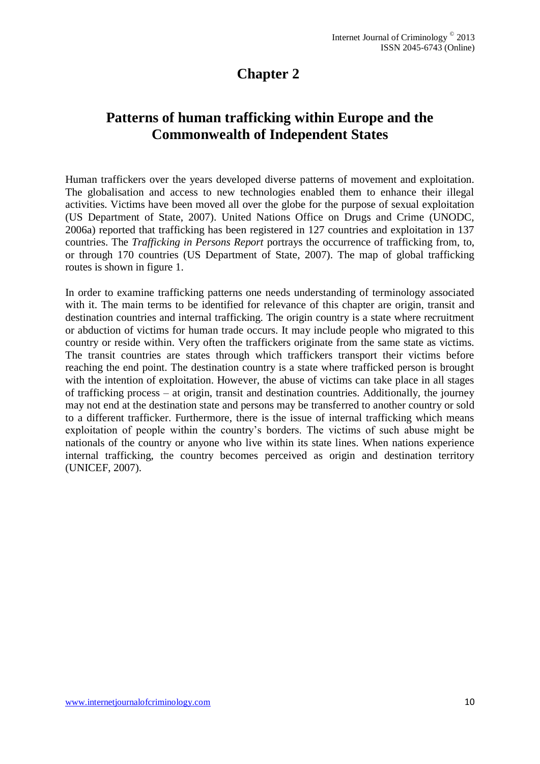# **Chapter 2**

# <span id="page-9-0"></span>**Patterns of human trafficking within Europe and the Commonwealth of Independent States**

Human traffickers over the years developed diverse patterns of movement and exploitation. The globalisation and access to new technologies enabled them to enhance their illegal activities. Victims have been moved all over the globe for the purpose of sexual exploitation (US Department of State, 2007). United Nations Office on Drugs and Crime (UNODC, 2006a) reported that trafficking has been registered in 127 countries and exploitation in 137 countries. The *Trafficking in Persons Report* portrays the occurrence of trafficking from, to, or through 170 countries (US Department of State, 2007). The map of global trafficking routes is shown in figure 1.

In order to examine trafficking patterns one needs understanding of terminology associated with it. The main terms to be identified for relevance of this chapter are origin, transit and destination countries and internal trafficking. The origin country is a state where recruitment or abduction of victims for human trade occurs. It may include people who migrated to this country or reside within. Very often the traffickers originate from the same state as victims. The transit countries are states through which traffickers transport their victims before reaching the end point. The destination country is a state where trafficked person is brought with the intention of exploitation. However, the abuse of victims can take place in all stages of trafficking process – at origin, transit and destination countries. Additionally, the journey may not end at the destination state and persons may be transferred to another country or sold to a different trafficker. Furthermore, there is the issue of internal trafficking which means exploitation of people within the country's borders. The victims of such abuse might be nationals of the country or anyone who live within its state lines. When nations experience internal trafficking, the country becomes perceived as origin and destination territory (UNICEF, 2007).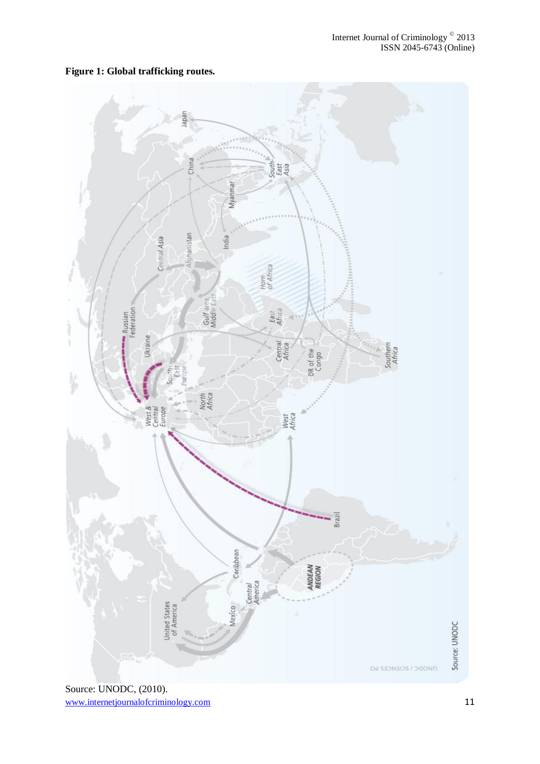

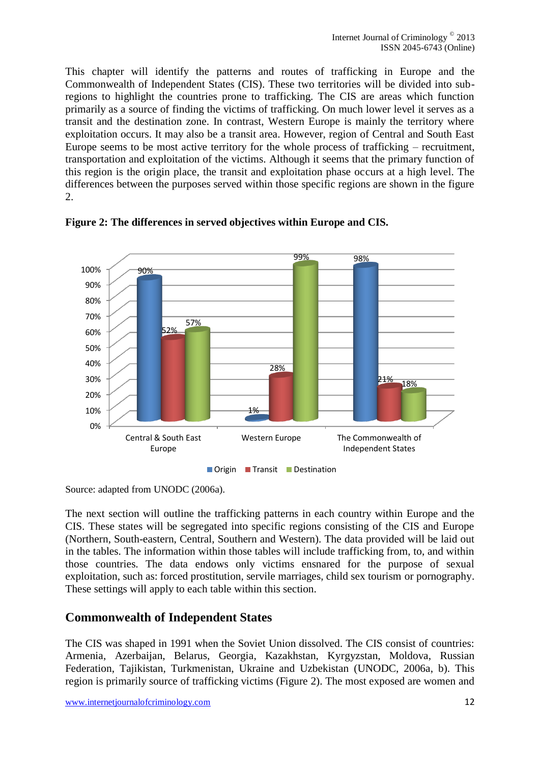This chapter will identify the patterns and routes of trafficking in Europe and the Commonwealth of Independent States (CIS). These two territories will be divided into subregions to highlight the countries prone to trafficking. The CIS are areas which function primarily as a source of finding the victims of trafficking. On much lower level it serves as a transit and the destination zone. In contrast, Western Europe is mainly the territory where exploitation occurs. It may also be a transit area. However, region of Central and South East Europe seems to be most active territory for the whole process of trafficking – recruitment, transportation and exploitation of the victims. Although it seems that the primary function of this region is the origin place, the transit and exploitation phase occurs at a high level. The differences between the purposes served within those specific regions are shown in the figure 2.



**Figure 2: The differences in served objectives within Europe and CIS.** 

Source: adapted from UNODC (2006a).

The next section will outline the trafficking patterns in each country within Europe and the CIS. These states will be segregated into specific regions consisting of the CIS and Europe (Northern, South-eastern, Central, Southern and Western). The data provided will be laid out in the tables. The information within those tables will include trafficking from, to, and within those countries. The data endows only victims ensnared for the purpose of sexual exploitation, such as: forced prostitution, servile marriages, child sex tourism or pornography. These settings will apply to each table within this section.

# **Commonwealth of Independent States**

The CIS was shaped in 1991 when the Soviet Union dissolved. The CIS consist of countries: Armenia, Azerbaijan, Belarus, Georgia, Kazakhstan, Kyrgyzstan, Moldova, Russian Federation, Tajikistan, Turkmenistan, Ukraine and Uzbekistan (UNODC, 2006a, b). This region is primarily source of trafficking victims (Figure 2). The most exposed are women and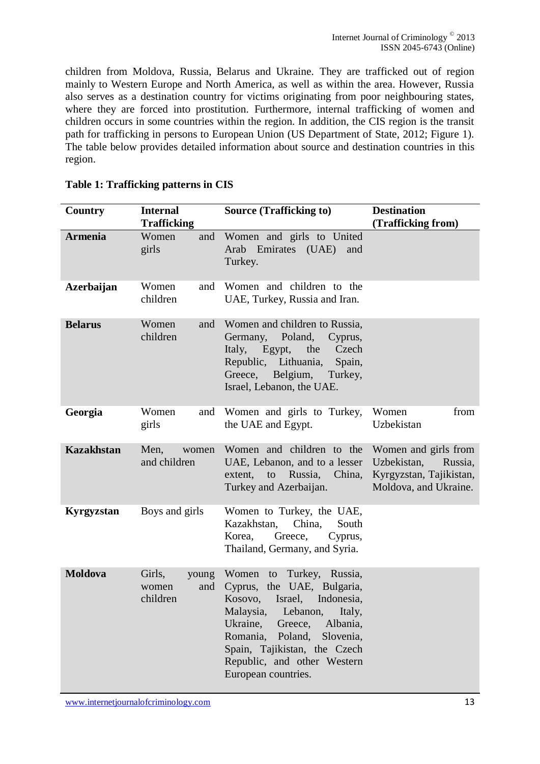children from Moldova, Russia, Belarus and Ukraine. They are trafficked out of region mainly to Western Europe and North America, as well as within the area. However, Russia also serves as a destination country for victims originating from poor neighbouring states, where they are forced into prostitution. Furthermore, internal trafficking of women and children occurs in some countries within the region. In addition, the CIS region is the transit path for trafficking in persons to European Union (US Department of State, 2012; Figure 1). The table below provides detailed information about source and destination countries in this region.

| Country           | <b>Internal</b><br><b>Trafficking</b>       | <b>Source (Trafficking to)</b>                                                                                                                                                                                                                                                             | <b>Destination</b><br>(Trafficking from)                                                           |
|-------------------|---------------------------------------------|--------------------------------------------------------------------------------------------------------------------------------------------------------------------------------------------------------------------------------------------------------------------------------------------|----------------------------------------------------------------------------------------------------|
| <b>Armenia</b>    | Women<br>and<br>girls                       | Women and girls to United<br>Arab Emirates (UAE) and<br>Turkey.                                                                                                                                                                                                                            |                                                                                                    |
| <b>Azerbaijan</b> | Women<br>and<br>children                    | Women and children to the<br>UAE, Turkey, Russia and Iran.                                                                                                                                                                                                                                 |                                                                                                    |
| <b>Belarus</b>    | Women<br>and<br>children                    | Women and children to Russia,<br>Germany, Poland,<br>Cyprus,<br>Italy,<br>Egypt,<br>the<br>Czech<br>Republic, Lithuania,<br>Spain,<br>Greece, Belgium,<br>Turkey,<br>Israel, Lebanon, the UAE.                                                                                             |                                                                                                    |
| Georgia           | Women<br>and<br>girls                       | Women and girls to Turkey,<br>the UAE and Egypt.                                                                                                                                                                                                                                           | Women<br>from<br>Uzbekistan                                                                        |
| <b>Kazakhstan</b> | Men,<br>women<br>and children               | Women and children to the<br>UAE, Lebanon, and to a lesser<br>extent,<br>Russia,<br>to<br>China,<br>Turkey and Azerbaijan.                                                                                                                                                                 | Women and girls from<br>Uzbekistan,<br>Russia,<br>Kyrgyzstan, Tajikistan,<br>Moldova, and Ukraine. |
| Kyrgyzstan        | Boys and girls                              | Women to Turkey, the UAE,<br>Kazakhstan,<br>China,<br>South<br>Korea,<br>Greece,<br>Cyprus,<br>Thailand, Germany, and Syria.                                                                                                                                                               |                                                                                                    |
| <b>Moldova</b>    | Girls,<br>young<br>and<br>women<br>children | Women to Turkey, Russia,<br>Cyprus, the UAE, Bulgaria,<br>Israel,<br>Indonesia,<br>Kosovo,<br>Malaysia,<br>Lebanon,<br>Italy,<br>Ukraine,<br>Albania,<br>Greece,<br>Poland,<br>Romania,<br>Slovenia,<br>Spain, Tajikistan, the Czech<br>Republic, and other Western<br>European countries. |                                                                                                    |

#### **Table 1: Trafficking patterns in CIS**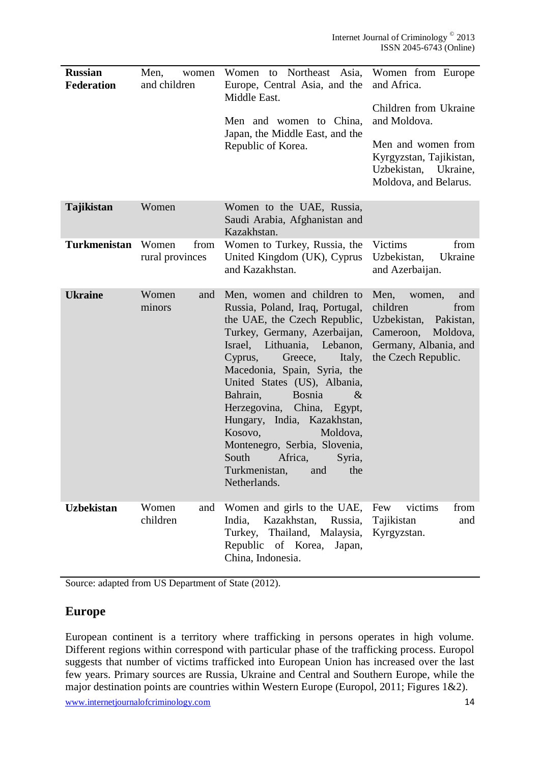| <b>Russian</b><br><b>Federation</b> | Men,<br>women<br>and children    | Women to Northeast Asia,<br>Europe, Central Asia, and the<br>Middle East.<br>Men and women to China,<br>Japan, the Middle East, and the<br>Republic of Korea.                                                                                                                                                                                                                                                                                                                                       | Women from Europe<br>and Africa.<br>Children from Ukraine<br>and Moldova.<br>Men and women from<br>Kyrgyzstan, Tajikistan,<br>Uzbekistan,<br>Ukraine,<br>Moldova, and Belarus. |
|-------------------------------------|----------------------------------|-----------------------------------------------------------------------------------------------------------------------------------------------------------------------------------------------------------------------------------------------------------------------------------------------------------------------------------------------------------------------------------------------------------------------------------------------------------------------------------------------------|--------------------------------------------------------------------------------------------------------------------------------------------------------------------------------|
| Tajikistan                          | Women                            | Women to the UAE, Russia,<br>Saudi Arabia, Afghanistan and<br>Kazakhstan.                                                                                                                                                                                                                                                                                                                                                                                                                           |                                                                                                                                                                                |
| <b>Turkmenistan</b>                 | Women<br>from<br>rural provinces | Women to Turkey, Russia, the<br>United Kingdom (UK), Cyprus<br>and Kazakhstan.                                                                                                                                                                                                                                                                                                                                                                                                                      | Victims<br>from<br>Uzbekistan,<br>Ukraine<br>and Azerbaijan.                                                                                                                   |
| <b>Ukraine</b>                      | Women<br>and<br>minors           | Men, women and children to<br>Russia, Poland, Iraq, Portugal,<br>the UAE, the Czech Republic,<br>Turkey, Germany, Azerbaijan,<br>Israel, Lithuania, Lebanon,<br>Greece,<br>Cyprus,<br>Italy,<br>Macedonia, Spain, Syria, the<br>United States (US), Albania,<br>Bahrain,<br><b>Bosnia</b><br>$\&$<br>Herzegovina, China, Egypt,<br>Hungary, India, Kazakhstan,<br>Kosovo,<br>Moldova,<br>Montenegro, Serbia, Slovenia,<br>South<br>Africa,<br>Syria,<br>Turkmenistan.<br>and<br>the<br>Netherlands. | Men,<br>and<br>women,<br>children<br>from<br>Uzbekistan,<br>Pakistan,<br>Cameroon,<br>Moldova,<br>Germany, Albania, and<br>the Czech Republic.                                 |
| <b>Uzbekistan</b>                   | Women<br>and<br>children         | Women and girls to the UAE,<br>Kazakhstan,<br>India,<br>Russia,<br>Thailand, Malaysia,<br>Turkey,<br>Republic of Korea,<br>Japan,<br>China, Indonesia.                                                                                                                                                                                                                                                                                                                                              | Few<br>victims<br>from<br>Tajikistan<br>and<br>Kyrgyzstan.                                                                                                                     |

Source: adapted from US Department of State (2012).

### **Europe**

European continent is a territory where trafficking in persons operates in high volume. Different regions within correspond with particular phase of the trafficking process. Europol suggests that number of victims trafficked into European Union has increased over the last few years. Primary sources are Russia, Ukraine and Central and Southern Europe, while the major destination points are countries within Western Europe (Europol, 2011; Figures 1&2).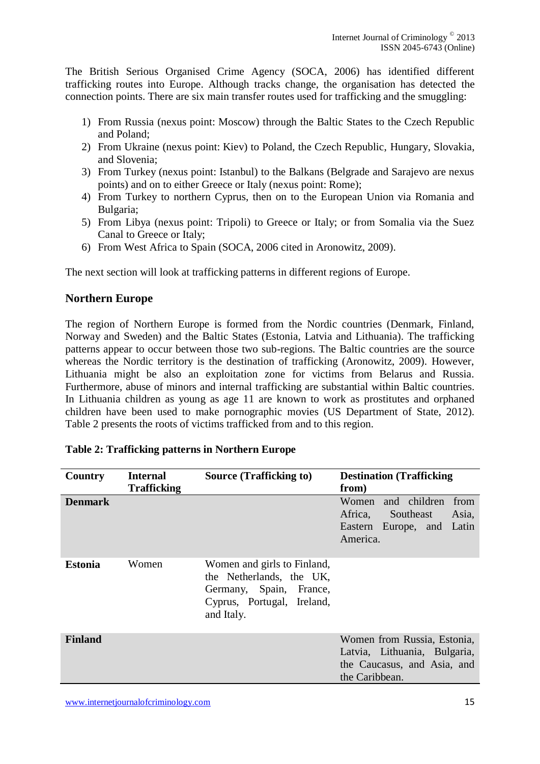The British Serious Organised Crime Agency (SOCA, 2006) has identified different trafficking routes into Europe. Although tracks change, the organisation has detected the connection points. There are six main transfer routes used for trafficking and the smuggling:

- 1) From Russia (nexus point: Moscow) through the Baltic States to the Czech Republic and Poland;
- 2) From Ukraine (nexus point: Kiev) to Poland, the Czech Republic, Hungary, Slovakia, and Slovenia;
- 3) From Turkey (nexus point: Istanbul) to the Balkans (Belgrade and Sarajevo are nexus points) and on to either Greece or Italy (nexus point: Rome);
- 4) From Turkey to northern Cyprus, then on to the European Union via Romania and Bulgaria;
- 5) From Libya (nexus point: Tripoli) to Greece or Italy; or from Somalia via the Suez Canal to Greece or Italy;
- 6) From West Africa to Spain (SOCA, 2006 cited in Aronowitz, 2009).

The next section will look at trafficking patterns in different regions of Europe.

#### **Northern Europe**

The region of Northern Europe is formed from the Nordic countries (Denmark, Finland, Norway and Sweden) and the Baltic States (Estonia, Latvia and Lithuania). The trafficking patterns appear to occur between those two sub-regions. The Baltic countries are the source whereas the Nordic territory is the destination of trafficking (Aronowitz, 2009). However, Lithuania might be also an exploitation zone for victims from Belarus and Russia. Furthermore, abuse of minors and internal trafficking are substantial within Baltic countries. In Lithuania children as young as age 11 are known to work as prostitutes and orphaned children have been used to make pornographic movies (US Department of State, 2012). Table 2 presents the roots of victims trafficked from and to this region.

| Country        | <b>Internal</b><br><b>Trafficking</b> | <b>Source (Trafficking to)</b>                                                                                                 | <b>Destination (Trafficking)</b><br>from)                                                                    |
|----------------|---------------------------------------|--------------------------------------------------------------------------------------------------------------------------------|--------------------------------------------------------------------------------------------------------------|
| <b>Denmark</b> |                                       |                                                                                                                                | and children<br>Women<br>from<br>Southeast<br>Asia,<br>Africa,<br>Eastern Europe, and Latin<br>America.      |
| <b>Estonia</b> | Women                                 | Women and girls to Finland,<br>the Netherlands, the UK,<br>Germany, Spain, France,<br>Cyprus, Portugal, Ireland,<br>and Italy. |                                                                                                              |
| <b>Finland</b> |                                       |                                                                                                                                | Women from Russia, Estonia,<br>Latvia, Lithuania, Bulgaria,<br>the Caucasus, and Asia, and<br>the Caribbean. |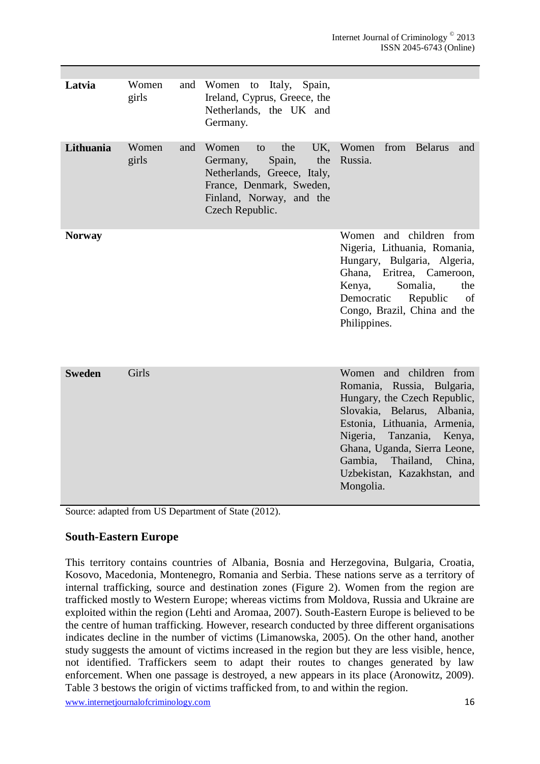| Latvia        | Women<br>girls |     | and Women to Italy, Spain,<br>Ireland, Cyprus, Greece, the<br>Netherlands, the UK and<br>Germany.                                                                |                                                                                                                                                                                                                                                                                                    |
|---------------|----------------|-----|------------------------------------------------------------------------------------------------------------------------------------------------------------------|----------------------------------------------------------------------------------------------------------------------------------------------------------------------------------------------------------------------------------------------------------------------------------------------------|
| Lithuania     | Women<br>girls | and | Women<br>the<br>UK,<br>to<br>the<br>Spain,<br>Germany,<br>Netherlands, Greece, Italy,<br>France, Denmark, Sweden,<br>Finland, Norway, and the<br>Czech Republic. | Women<br>from Belarus<br>and<br>Russia.                                                                                                                                                                                                                                                            |
| <b>Norway</b> |                |     |                                                                                                                                                                  | children from<br>Women<br>and<br>Nigeria, Lithuania, Romania,<br>Hungary, Bulgaria, Algeria,<br>Ghana,<br>Eritrea, Cameroon,<br>Kenya,<br>Somalia,<br>the<br>Democratic<br>Republic<br>of<br>Congo, Brazil, China and the<br>Philippines.                                                          |
| <b>Sweden</b> | Girls          |     |                                                                                                                                                                  | Women and children from<br>Romania, Russia, Bulgaria,<br>Hungary, the Czech Republic,<br>Slovakia, Belarus, Albania,<br>Estonia, Lithuania, Armenia,<br>Nigeria,<br>Tanzania, Kenya,<br>Ghana, Uganda, Sierra Leone,<br>Gambia,<br>Thailand,<br>China.<br>Uzbekistan, Kazakhstan, and<br>Mongolia. |

Source: adapted from US Department of State (2012).

#### **South-Eastern Europe**

This territory contains countries of Albania, Bosnia and Herzegovina, Bulgaria, Croatia, Kosovo, Macedonia, Montenegro, Romania and Serbia. These nations serve as a territory of internal trafficking, source and destination zones (Figure 2). Women from the region are trafficked mostly to Western Europe; whereas victims from Moldova, Russia and Ukraine are exploited within the region (Lehti and Aromaa, 2007). South-Eastern Europe is believed to be the centre of human trafficking. However, research conducted by three different organisations indicates decline in the number of victims (Limanowska, 2005). On the other hand, another study suggests the amount of victims increased in the region but they are less visible, hence, not identified. Traffickers seem to adapt their routes to changes generated by law enforcement. When one passage is destroyed, a new appears in its place (Aronowitz, 2009). Table 3 bestows the origin of victims trafficked from, to and within the region.

www.internetjournalofcriminology.com 16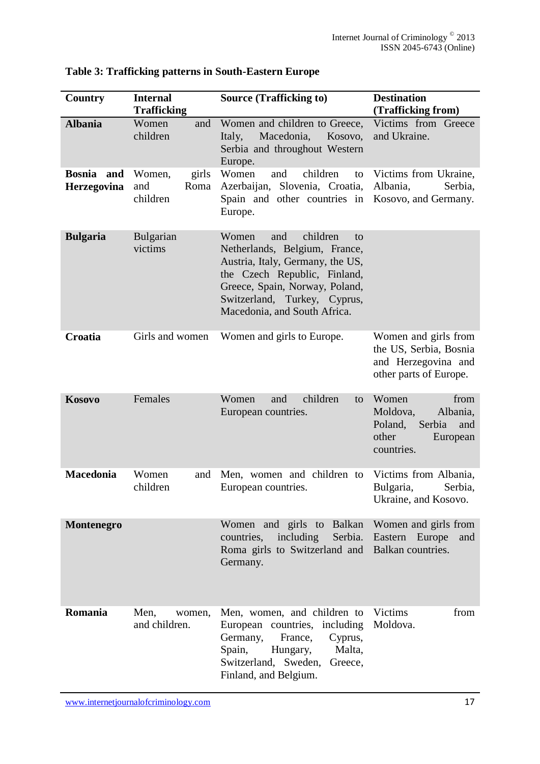| <b>Country</b>                      | <b>Internal</b>                            | <b>Source (Trafficking to)</b>                                                                                                                                                                                                        | <b>Destination</b>                                                                                   |
|-------------------------------------|--------------------------------------------|---------------------------------------------------------------------------------------------------------------------------------------------------------------------------------------------------------------------------------------|------------------------------------------------------------------------------------------------------|
|                                     | <b>Trafficking</b>                         |                                                                                                                                                                                                                                       | (Trafficking from)                                                                                   |
| <b>Albania</b>                      | Women<br>and<br>children                   | Women and children to Greece,<br>Macedonia,<br>Kosovo,<br>Italy,<br>Serbia and throughout Western<br>Europe.                                                                                                                          | Victims from Greece<br>and Ukraine.                                                                  |
| <b>Bosnia</b><br>and<br>Herzegovina | girls<br>Women,<br>and<br>Roma<br>children | Women<br>children<br>and<br>to<br>Azerbaijan, Slovenia, Croatia,<br>Spain and other countries in<br>Europe.                                                                                                                           | Victims from Ukraine,<br>Albania,<br>Serbia,<br>Kosovo, and Germany.                                 |
| <b>Bulgaria</b>                     | <b>Bulgarian</b><br>victims                | children<br>and<br>Women<br>to<br>Netherlands, Belgium, France,<br>Austria, Italy, Germany, the US,<br>the Czech Republic, Finland,<br>Greece, Spain, Norway, Poland,<br>Switzerland, Turkey, Cyprus,<br>Macedonia, and South Africa. |                                                                                                      |
| Croatia                             | Girls and women                            | Women and girls to Europe.                                                                                                                                                                                                            | Women and girls from<br>the US, Serbia, Bosnia<br>and Herzegovina and<br>other parts of Europe.      |
| Kosovo                              | Females                                    | children<br>and<br>Women<br>to<br>European countries.                                                                                                                                                                                 | Women<br>from<br>Moldova,<br>Albania,<br>Poland,<br>Serbia<br>and<br>other<br>European<br>countries. |
| <b>Macedonia</b>                    | Women<br>and<br>children                   | Men, women and children to<br>European countries.                                                                                                                                                                                     | Victims from Albania,<br>Bulgaria,<br>Serbia,<br>Ukraine, and Kosovo.                                |
| Montenegro                          |                                            | Women and girls to Balkan<br>countries,<br>including<br>Serbia.<br>Roma girls to Switzerland and<br>Germany.                                                                                                                          | Women and girls from<br>Eastern Europe<br>and<br>Balkan countries.                                   |
| Romania                             | Men,<br>women,<br>and children.            | Men, women, and children to<br>European countries, including<br>Germany,<br>France,<br>Cyprus,<br>Spain,<br>Hungary,<br>Malta,<br>Switzerland, Sweden,<br>Greece,<br>Finland, and Belgium.                                            | Victims<br>from<br>Moldova.                                                                          |

# **Table 3: Trafficking patterns in South-Eastern Europe**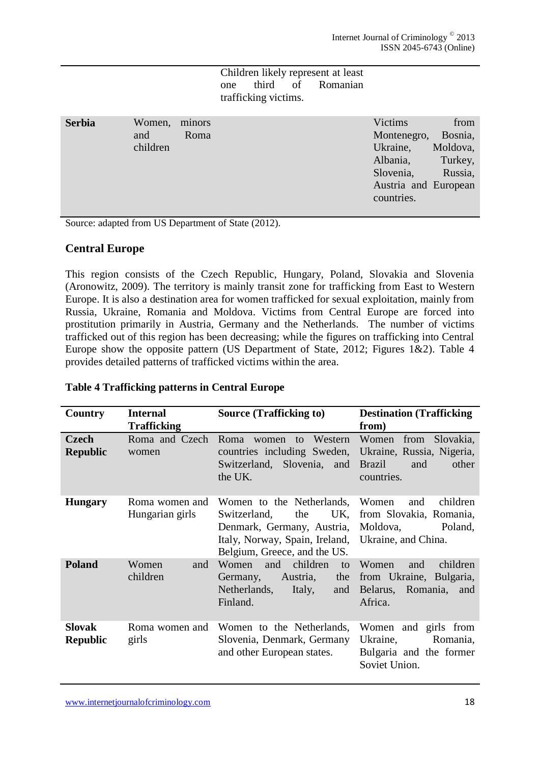#### Children likely represent at least one third of Romanian trafficking victims.

| <b>Serbia</b> | Women, minors |      | Victims     | from                 |
|---------------|---------------|------|-------------|----------------------|
|               | and           | Roma | Montenegro, | Bosnia,              |
|               | children      |      | Ukraine,    | Moldova,             |
|               |               |      | Albania,    | Turkey,              |
|               |               |      | Slovenia,   | Russia,              |
|               |               |      |             | Austria and European |
|               |               |      | countries.  |                      |
|               |               |      |             |                      |

Source: adapted from US Department of State (2012).

#### **Central Europe**

This region consists of the Czech Republic, Hungary, Poland, Slovakia and Slovenia (Aronowitz, 2009). The territory is mainly transit zone for trafficking from East to Western Europe. It is also a destination area for women trafficked for sexual exploitation, mainly from Russia, Ukraine, Romania and Moldova. Victims from Central Europe are forced into prostitution primarily in Austria, Germany and the Netherlands. The number of victims trafficked out of this region has been decreasing; while the figures on trafficking into Central Europe show the opposite pattern (US Department of State, 2012; Figures 1&2). Table 4 provides detailed patterns of trafficked victims within the area.

| Country                          | <b>Internal</b>                   | <b>Source (Trafficking to)</b>                                                                                                                                                       | <b>Destination (Trafficking)</b>                                                         |
|----------------------------------|-----------------------------------|--------------------------------------------------------------------------------------------------------------------------------------------------------------------------------------|------------------------------------------------------------------------------------------|
|                                  | <b>Trafficking</b>                |                                                                                                                                                                                      | from)                                                                                    |
| <b>Czech</b><br><b>Republic</b>  | Roma and Czech<br>women           | Roma women to Western<br>countries including Sweden, Ukraine, Russia, Nigeria,<br>Switzerland, Slovenia, and<br>the UK.                                                              | Women from Slovakia,<br><b>Brazil</b><br>other<br>and<br>countries.                      |
| <b>Hungary</b>                   | Roma women and<br>Hungarian girls | Women to the Netherlands,<br>UK,<br>Switzerland,<br>the<br>Denmark, Germany, Austria, Moldova,<br>Italy, Norway, Spain, Ireland, Ukraine, and China.<br>Belgium, Greece, and the US. | Women<br>children<br>and<br>from Slovakia, Romania,<br>Poland,                           |
| <b>Poland</b>                    | Women<br>and<br>children          | children<br>and<br>Women<br>to<br>Austria,<br>the<br>Germany,<br>Netherlands,<br>Italy,<br>and<br>Finland.                                                                           | children<br>Women<br>and<br>from Ukraine, Bulgaria,<br>Belarus, Romania, and<br>Africa.  |
| <b>Slovak</b><br><b>Republic</b> | Roma women and<br>girls           | Women to the Netherlands,<br>Slovenia, Denmark, Germany<br>and other European states.                                                                                                | Women and girls from<br>Ukraine,<br>Romania,<br>Bulgaria and the former<br>Soviet Union. |

#### **Table 4 Trafficking patterns in Central Europe**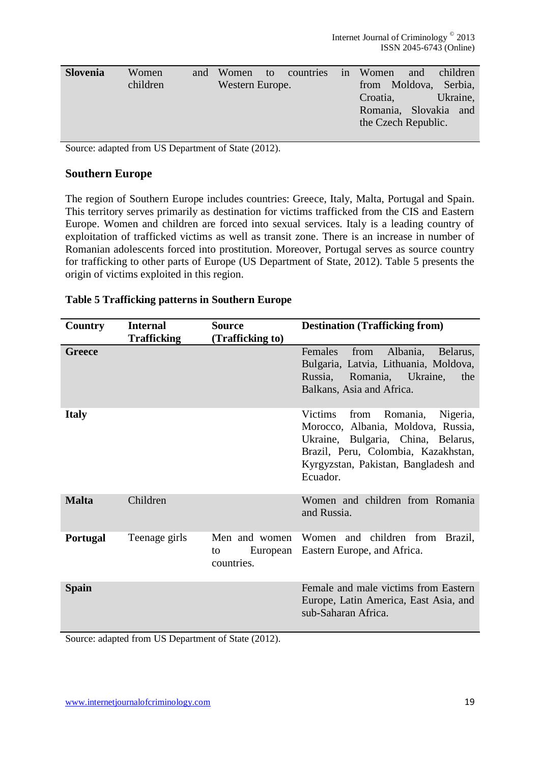| <b>Slovenia</b> | Women<br>children | and | Women<br>Western Europe. | to | countries | 1n | Women<br>from | and<br>Moldova,     | children<br>Serbia,               |
|-----------------|-------------------|-----|--------------------------|----|-----------|----|---------------|---------------------|-----------------------------------|
|                 |                   |     |                          |    |           |    | Croatia,      | the Czech Republic. | Ukraine,<br>Romania, Slovakia and |

Source: adapted from US Department of State (2012).

#### **Southern Europe**

The region of Southern Europe includes countries: Greece, Italy, Malta, Portugal and Spain. This territory serves primarily as destination for victims trafficked from the CIS and Eastern Europe. Women and children are forced into sexual services. Italy is a leading country of exploitation of trafficked victims as well as transit zone. There is an increase in number of Romanian adolescents forced into prostitution. Moreover, Portugal serves as source country for trafficking to other parts of Europe (US Department of State, 2012). Table 5 presents the origin of victims exploited in this region.

| Country         | <b>Internal</b><br><b>Trafficking</b> | <b>Source</b><br>(Trafficking to) | <b>Destination (Trafficking from)</b>                                                                                                                                                                                 |
|-----------------|---------------------------------------|-----------------------------------|-----------------------------------------------------------------------------------------------------------------------------------------------------------------------------------------------------------------------|
| <b>Greece</b>   |                                       |                                   | Albania,<br><b>Females</b><br>from<br>Belarus,<br>Bulgaria, Latvia, Lithuania, Moldova,<br>Russia,<br>Romania, Ukraine,<br>the<br>Balkans, Asia and Africa.                                                           |
| <b>Italy</b>    |                                       |                                   | <b>Victims</b><br>Romania,<br>Nigeria,<br>from<br>Morocco, Albania, Moldova, Russia,<br>Ukraine, Bulgaria, China, Belarus,<br>Brazil, Peru, Colombia, Kazakhstan,<br>Kyrgyzstan, Pakistan, Bangladesh and<br>Ecuador. |
| <b>Malta</b>    | Children                              |                                   | Women and children from Romania<br>and Russia.                                                                                                                                                                        |
| <b>Portugal</b> | Teenage girls                         | to<br>countries.                  | Men and women Women and children from Brazil,<br>European Eastern Europe, and Africa.                                                                                                                                 |
| <b>Spain</b>    |                                       |                                   | Female and male victims from Eastern<br>Europe, Latin America, East Asia, and<br>sub-Saharan Africa.                                                                                                                  |

#### **Table 5 Trafficking patterns in Southern Europe**

Source: adapted from US Department of State (2012).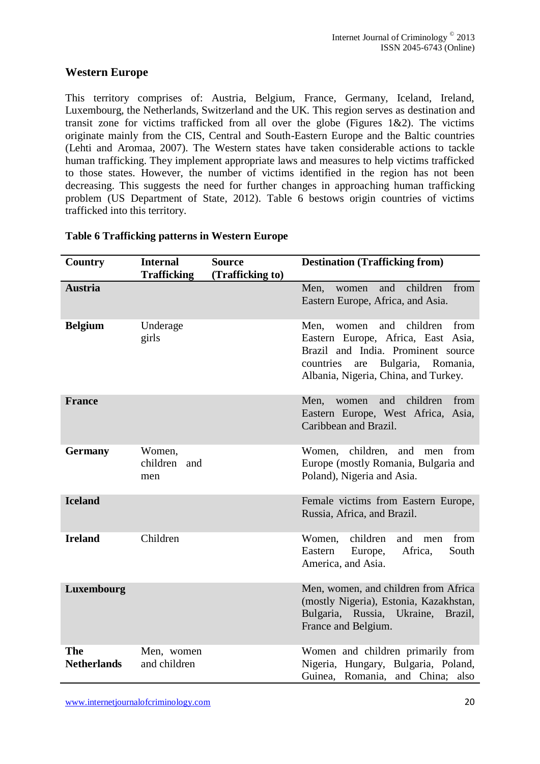### **Western Europe**

This territory comprises of: Austria, Belgium, France, Germany, Iceland, Ireland, Luxembourg, the Netherlands, Switzerland and the UK. This region serves as destination and transit zone for victims trafficked from all over the globe (Figures  $1\&2$ ). The victims originate mainly from the CIS, Central and South-Eastern Europe and the Baltic countries (Lehti and Aromaa, 2007). The Western states have taken considerable actions to tackle human trafficking. They implement appropriate laws and measures to help victims trafficked to those states. However, the number of victims identified in the region has not been decreasing. This suggests the need for further changes in approaching human trafficking problem (US Department of State, 2012). Table 6 bestows origin countries of victims trafficked into this territory.

| Country                   | <b>Internal</b><br><b>Trafficking</b> | <b>Source</b><br>(Trafficking to) | <b>Destination (Trafficking from)</b>                                                                                                                                                                  |
|---------------------------|---------------------------------------|-----------------------------------|--------------------------------------------------------------------------------------------------------------------------------------------------------------------------------------------------------|
| <b>Austria</b>            |                                       |                                   | children<br>and<br>from<br>Men,<br>women<br>Eastern Europe, Africa, and Asia.                                                                                                                          |
| <b>Belgium</b>            | Underage<br>girls                     |                                   | children<br>from<br>Men.<br>and<br>women<br>Eastern Europe, Africa, East Asia,<br>Brazil and India. Prominent source<br>Bulgaria, Romania,<br>countries<br>are<br>Albania, Nigeria, China, and Turkey. |
| <b>France</b>             |                                       |                                   | and<br>children<br>from<br>Men,<br>women<br>Eastern Europe, West Africa, Asia,<br>Caribbean and Brazil.                                                                                                |
| <b>Germany</b>            | Women,<br>children and<br>men         |                                   | children,<br>and<br>from<br>Women,<br>men<br>Europe (mostly Romania, Bulgaria and<br>Poland), Nigeria and Asia.                                                                                        |
| <b>Iceland</b>            |                                       |                                   | Female victims from Eastern Europe,<br>Russia, Africa, and Brazil.                                                                                                                                     |
| <b>Ireland</b>            | Children                              |                                   | children<br>Women,<br>and<br>from<br>men<br>Africa,<br>South<br>Eastern<br>Europe,<br>America, and Asia.                                                                                               |
| Luxembourg                |                                       |                                   | Men, women, and children from Africa<br>(mostly Nigeria), Estonia, Kazakhstan,<br>Bulgaria, Russia, Ukraine, Brazil,<br>France and Belgium.                                                            |
| The<br><b>Netherlands</b> | Men, women<br>and children            |                                   | Women and children primarily from<br>Nigeria, Hungary, Bulgaria, Poland,<br>Guinea, Romania, and China; also                                                                                           |

#### **Table 6 Trafficking patterns in Western Europe**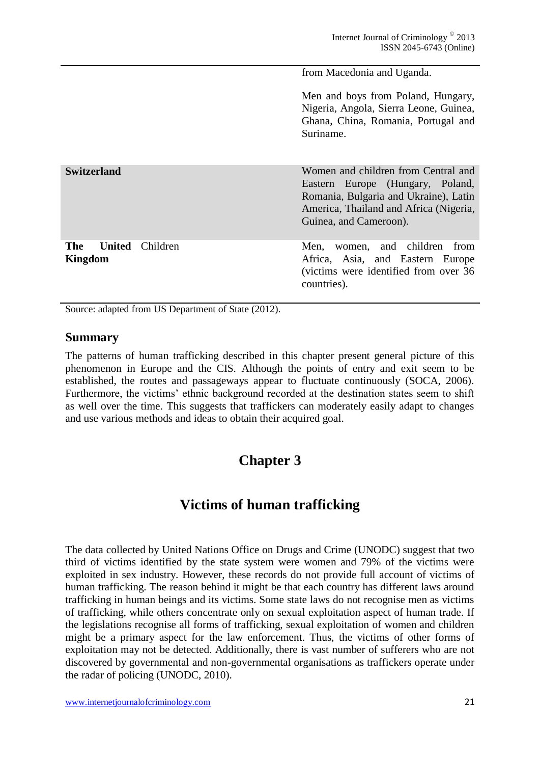from Macedonia and Uganda.

Men and boys from Poland, Hungary, Nigeria, Angola, Sierra Leone, Guinea, Ghana, China, Romania, Portugal and Suriname.

**Switzerland** Women and children from Central and Eastern Europe (Hungary, Poland, Romania, Bulgaria and Ukraine), Latin America, Thailand and Africa (Nigeria, Guinea, and Cameroon).

> Men, women, and children from Africa, Asia, and Eastern Europe (victims were identified from over 36 countries).

Source: adapted from US Department of State (2012).

#### **Summary**

**Kingdom**

The **United** Children

<span id="page-20-0"></span>The patterns of human trafficking described in this chapter present general picture of this phenomenon in Europe and the CIS. Although the points of entry and exit seem to be established, the routes and passageways appear to fluctuate continuously (SOCA, 2006). Furthermore, the victims' ethnic background recorded at the destination states seem to shift as well over the time. This suggests that traffickers can moderately easily adapt to changes and use various methods and ideas to obtain their acquired goal.

# **Chapter 3**

# **Victims of human trafficking**

The data collected by United Nations Office on Drugs and Crime (UNODC) suggest that two third of victims identified by the state system were women and 79% of the victims were exploited in sex industry. However, these records do not provide full account of victims of human trafficking. The reason behind it might be that each country has different laws around trafficking in human beings and its victims. Some state laws do not recognise men as victims of trafficking, while others concentrate only on sexual exploitation aspect of human trade. If the legislations recognise all forms of trafficking, sexual exploitation of women and children might be a primary aspect for the law enforcement. Thus, the victims of other forms of exploitation may not be detected. Additionally, there is vast number of sufferers who are not discovered by governmental and non-governmental organisations as traffickers operate under the radar of policing (UNODC, 2010).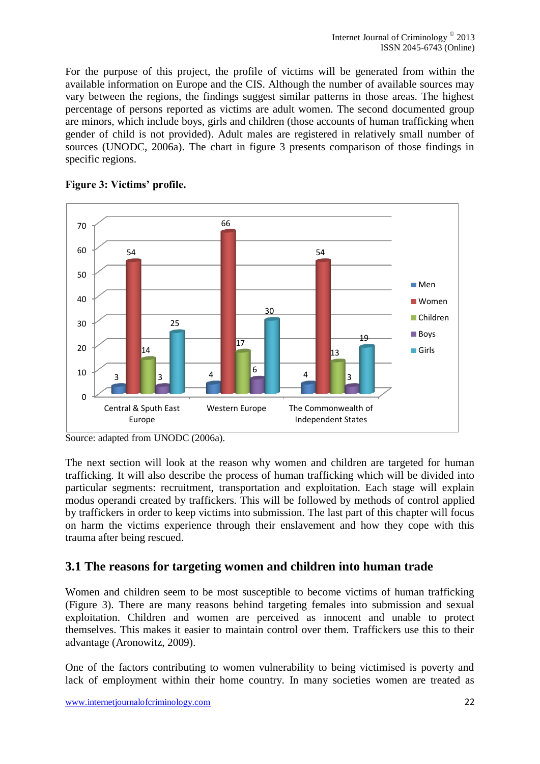For the purpose of this project, the profile of victims will be generated from within the available information on Europe and the CIS. Although the number of available sources may vary between the regions, the findings suggest similar patterns in those areas. The highest percentage of persons reported as victims are adult women. The second documented group are minors, which include boys, girls and children (those accounts of human trafficking when gender of child is not provided). Adult males are registered in relatively small number of sources (UNODC, 2006a). The chart in figure 3 presents comparison of those findings in specific regions.



#### **Figure 3: Victims' profile.**

The next section will look at the reason why women and children are targeted for human trafficking. It will also describe the process of human trafficking which will be divided into particular segments: recruitment, transportation and exploitation. Each stage will explain modus operandi created by traffickers. This will be followed by methods of control applied by traffickers in order to keep victims into submission. The last part of this chapter will focus on harm the victims experience through their enslavement and how they cope with this trauma after being rescued.

# **3.1 The reasons for targeting women and children into human trade**

Women and children seem to be most susceptible to become victims of human trafficking (Figure 3). There are many reasons behind targeting females into submission and sexual exploitation. Children and women are perceived as innocent and unable to protect themselves. This makes it easier to maintain control over them. Traffickers use this to their advantage (Aronowitz, 2009).

One of the factors contributing to women vulnerability to being victimised is poverty and lack of employment within their home country. In many societies women are treated as

Source: adapted from UNODC (2006a).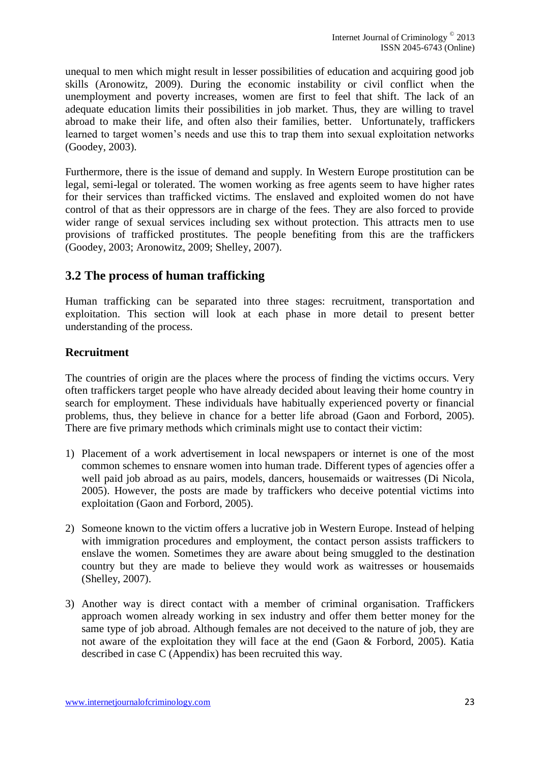unequal to men which might result in lesser possibilities of education and acquiring good job skills (Aronowitz, 2009). During the economic instability or civil conflict when the unemployment and poverty increases, women are first to feel that shift. The lack of an adequate education limits their possibilities in job market. Thus, they are willing to travel abroad to make their life, and often also their families, better. Unfortunately, traffickers learned to target women's needs and use this to trap them into sexual exploitation networks (Goodey, 2003).

Furthermore, there is the issue of demand and supply. In Western Europe prostitution can be legal, semi-legal or tolerated. The women working as free agents seem to have higher rates for their services than trafficked victims. The enslaved and exploited women do not have control of that as their oppressors are in charge of the fees. They are also forced to provide wider range of sexual services including sex without protection. This attracts men to use provisions of trafficked prostitutes. The people benefiting from this are the traffickers (Goodey, 2003; Aronowitz, 2009; Shelley, 2007).

### **3.2 The process of human trafficking**

Human trafficking can be separated into three stages: recruitment, transportation and exploitation. This section will look at each phase in more detail to present better understanding of the process.

#### **Recruitment**

The countries of origin are the places where the process of finding the victims occurs. Very often traffickers target people who have already decided about leaving their home country in search for employment. These individuals have habitually experienced poverty or financial problems, thus, they believe in chance for a better life abroad (Gaon and Forbord, 2005). There are five primary methods which criminals might use to contact their victim:

- 1) Placement of a work advertisement in local newspapers or internet is one of the most common schemes to ensnare women into human trade. Different types of agencies offer a well paid job abroad as au pairs, models, dancers, housemaids or waitresses (Di Nicola, 2005). However, the posts are made by traffickers who deceive potential victims into exploitation (Gaon and Forbord, 2005).
- 2) Someone known to the victim offers a lucrative job in Western Europe. Instead of helping with immigration procedures and employment, the contact person assists traffickers to enslave the women. Sometimes they are aware about being smuggled to the destination country but they are made to believe they would work as waitresses or housemaids (Shelley, 2007).
- 3) Another way is direct contact with a member of criminal organisation. Traffickers approach women already working in sex industry and offer them better money for the same type of job abroad. Although females are not deceived to the nature of job, they are not aware of the exploitation they will face at the end (Gaon & Forbord, 2005). Katia described in case C (Appendix) has been recruited this way.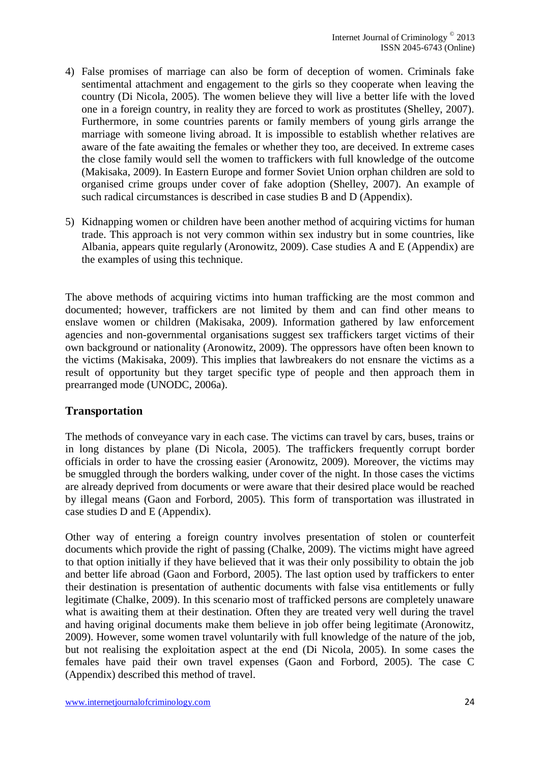- 4) False promises of marriage can also be form of deception of women. Criminals fake sentimental attachment and engagement to the girls so they cooperate when leaving the country (Di Nicola, 2005). The women believe they will live a better life with the loved one in a foreign country, in reality they are forced to work as prostitutes (Shelley, 2007). Furthermore, in some countries parents or family members of young girls arrange the marriage with someone living abroad. It is impossible to establish whether relatives are aware of the fate awaiting the females or whether they too, are deceived. In extreme cases the close family would sell the women to traffickers with full knowledge of the outcome (Makisaka, 2009). In Eastern Europe and former Soviet Union orphan children are sold to organised crime groups under cover of fake adoption (Shelley, 2007). An example of such radical circumstances is described in case studies B and D (Appendix).
- 5) Kidnapping women or children have been another method of acquiring victims for human trade. This approach is not very common within sex industry but in some countries, like Albania, appears quite regularly (Aronowitz, 2009). Case studies A and E (Appendix) are the examples of using this technique.

The above methods of acquiring victims into human trafficking are the most common and documented; however, traffickers are not limited by them and can find other means to enslave women or children (Makisaka, 2009). Information gathered by law enforcement agencies and non-governmental organisations suggest sex traffickers target victims of their own background or nationality (Aronowitz, 2009). The oppressors have often been known to the victims (Makisaka, 2009). This implies that lawbreakers do not ensnare the victims as a result of opportunity but they target specific type of people and then approach them in prearranged mode (UNODC, 2006a).

#### **Transportation**

The methods of conveyance vary in each case. The victims can travel by cars, buses, trains or in long distances by plane (Di Nicola, 2005). The traffickers frequently corrupt border officials in order to have the crossing easier (Aronowitz, 2009). Moreover, the victims may be smuggled through the borders walking, under cover of the night. In those cases the victims are already deprived from documents or were aware that their desired place would be reached by illegal means (Gaon and Forbord, 2005). This form of transportation was illustrated in case studies D and E (Appendix).

Other way of entering a foreign country involves presentation of stolen or counterfeit documents which provide the right of passing (Chalke, 2009). The victims might have agreed to that option initially if they have believed that it was their only possibility to obtain the job and better life abroad (Gaon and Forbord, 2005). The last option used by traffickers to enter their destination is presentation of authentic documents with false visa entitlements or fully legitimate (Chalke, 2009). In this scenario most of trafficked persons are completely unaware what is awaiting them at their destination. Often they are treated very well during the travel and having original documents make them believe in job offer being legitimate (Aronowitz, 2009). However, some women travel voluntarily with full knowledge of the nature of the job, but not realising the exploitation aspect at the end (Di Nicola, 2005). In some cases the females have paid their own travel expenses (Gaon and Forbord, 2005). The case C (Appendix) described this method of travel.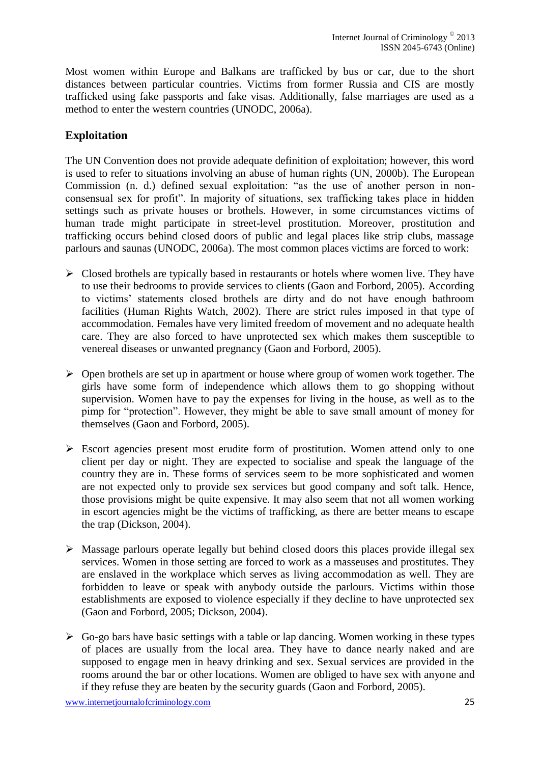Most women within Europe and Balkans are trafficked by bus or car, due to the short distances between particular countries. Victims from former Russia and CIS are mostly trafficked using fake passports and fake visas. Additionally, false marriages are used as a method to enter the western countries (UNODC, 2006a).

### **Exploitation**

The UN Convention does not provide adequate definition of exploitation; however, this word is used to refer to situations involving an abuse of human rights (UN, 2000b). The European Commission (n. d.) defined sexual exploitation: "as the use of another person in nonconsensual sex for profit". In majority of situations, sex trafficking takes place in hidden settings such as private houses or brothels. However, in some circumstances victims of human trade might participate in street-level prostitution. Moreover, prostitution and trafficking occurs behind closed doors of public and legal places like strip clubs, massage parlours and saunas (UNODC, 2006a). The most common places victims are forced to work:

- $\triangleright$  Closed brothels are typically based in restaurants or hotels where women live. They have to use their bedrooms to provide services to clients (Gaon and Forbord, 2005). According to victims' statements closed brothels are dirty and do not have enough bathroom facilities (Human Rights Watch, 2002). There are strict rules imposed in that type of accommodation. Females have very limited freedom of movement and no adequate health care. They are also forced to have unprotected sex which makes them susceptible to venereal diseases or unwanted pregnancy (Gaon and Forbord, 2005).
- $\triangleright$  Open brothels are set up in apartment or house where group of women work together. The girls have some form of independence which allows them to go shopping without supervision. Women have to pay the expenses for living in the house, as well as to the pimp for "protection". However, they might be able to save small amount of money for themselves (Gaon and Forbord, 2005).
- Escort agencies present most erudite form of prostitution. Women attend only to one client per day or night. They are expected to socialise and speak the language of the country they are in. These forms of services seem to be more sophisticated and women are not expected only to provide sex services but good company and soft talk. Hence, those provisions might be quite expensive. It may also seem that not all women working in escort agencies might be the victims of trafficking, as there are better means to escape the trap (Dickson, 2004).
- $\triangleright$  Massage parlours operate legally but behind closed doors this places provide illegal sex services. Women in those setting are forced to work as a masseuses and prostitutes. They are enslaved in the workplace which serves as living accommodation as well. They are forbidden to leave or speak with anybody outside the parlours. Victims within those establishments are exposed to violence especially if they decline to have unprotected sex (Gaon and Forbord, 2005; Dickson, 2004).
- $\triangleright$  Go-go bars have basic settings with a table or lap dancing. Women working in these types of places are usually from the local area. They have to dance nearly naked and are supposed to engage men in heavy drinking and sex. Sexual services are provided in the rooms around the bar or other locations. Women are obliged to have sex with anyone and if they refuse they are beaten by the security guards (Gaon and Forbord, 2005).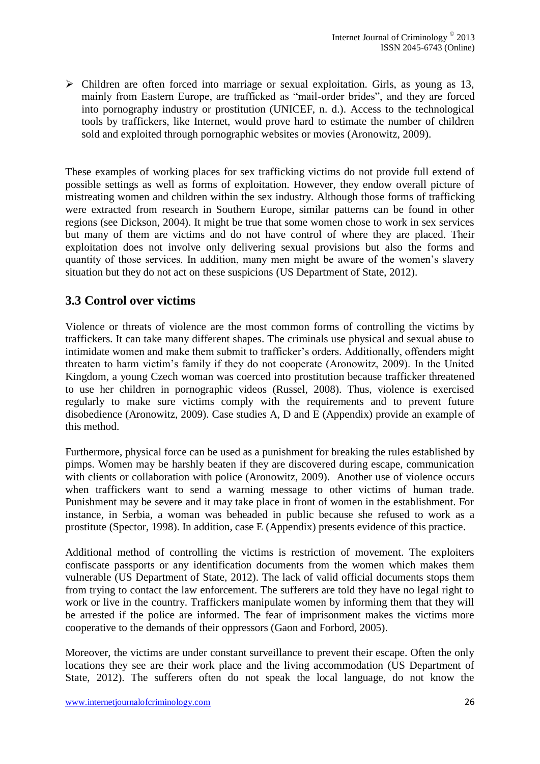$\triangleright$  Children are often forced into marriage or sexual exploitation. Girls, as young as 13, mainly from Eastern Europe, are trafficked as "mail-order brides", and they are forced into pornography industry or prostitution (UNICEF, n. d.). Access to the technological tools by traffickers, like Internet, would prove hard to estimate the number of children sold and exploited through pornographic websites or movies (Aronowitz, 2009).

These examples of working places for sex trafficking victims do not provide full extend of possible settings as well as forms of exploitation. However, they endow overall picture of mistreating women and children within the sex industry. Although those forms of trafficking were extracted from research in Southern Europe, similar patterns can be found in other regions (see Dickson, 2004). It might be true that some women chose to work in sex services but many of them are victims and do not have control of where they are placed. Their exploitation does not involve only delivering sexual provisions but also the forms and quantity of those services. In addition, many men might be aware of the women's slavery situation but they do not act on these suspicions (US Department of State, 2012).

# **3.3 Control over victims**

Violence or threats of violence are the most common forms of controlling the victims by traffickers. It can take many different shapes. The criminals use physical and sexual abuse to intimidate women and make them submit to trafficker's orders. Additionally, offenders might threaten to harm victim's family if they do not cooperate (Aronowitz, 2009). In the United Kingdom, a young Czech woman was coerced into prostitution because trafficker threatened to use her children in pornographic videos (Russel, 2008). Thus, violence is exercised regularly to make sure victims comply with the requirements and to prevent future disobedience (Aronowitz, 2009). Case studies A, D and E (Appendix) provide an example of this method.

Furthermore, physical force can be used as a punishment for breaking the rules established by pimps. Women may be harshly beaten if they are discovered during escape, communication with clients or collaboration with police (Aronowitz, 2009). Another use of violence occurs when traffickers want to send a warning message to other victims of human trade. Punishment may be severe and it may take place in front of women in the establishment. For instance, in Serbia, a woman was beheaded in public because she refused to work as a prostitute (Spector, 1998). In addition, case E (Appendix) presents evidence of this practice.

Additional method of controlling the victims is restriction of movement. The exploiters confiscate passports or any identification documents from the women which makes them vulnerable (US Department of State, 2012). The lack of valid official documents stops them from trying to contact the law enforcement. The sufferers are told they have no legal right to work or live in the country. Traffickers manipulate women by informing them that they will be arrested if the police are informed. The fear of imprisonment makes the victims more cooperative to the demands of their oppressors (Gaon and Forbord, 2005).

Moreover, the victims are under constant surveillance to prevent their escape. Often the only locations they see are their work place and the living accommodation (US Department of State, 2012). The sufferers often do not speak the local language, do not know the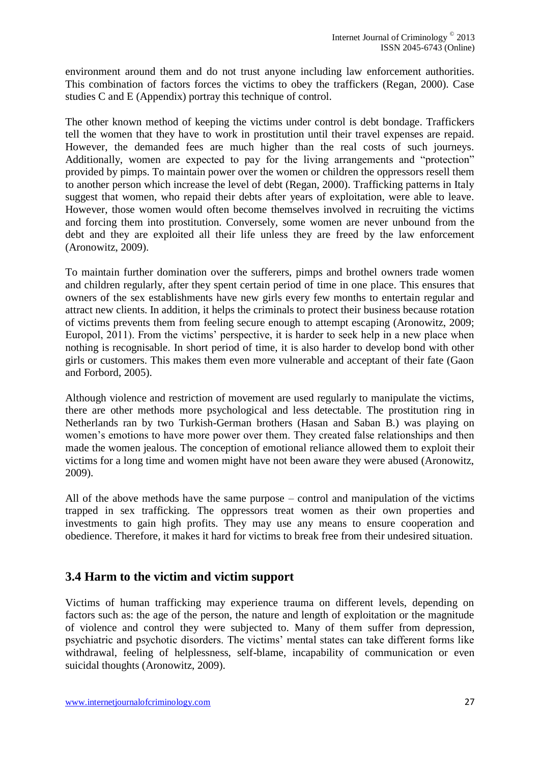environment around them and do not trust anyone including law enforcement authorities. This combination of factors forces the victims to obey the traffickers (Regan, 2000). Case studies C and E (Appendix) portray this technique of control.

The other known method of keeping the victims under control is debt bondage. Traffickers tell the women that they have to work in prostitution until their travel expenses are repaid. However, the demanded fees are much higher than the real costs of such journeys. Additionally, women are expected to pay for the living arrangements and "protection" provided by pimps. To maintain power over the women or children the oppressors resell them to another person which increase the level of debt (Regan, 2000). Trafficking patterns in Italy suggest that women, who repaid their debts after years of exploitation, were able to leave. However, those women would often become themselves involved in recruiting the victims and forcing them into prostitution. Conversely, some women are never unbound from the debt and they are exploited all their life unless they are freed by the law enforcement (Aronowitz, 2009).

To maintain further domination over the sufferers, pimps and brothel owners trade women and children regularly, after they spent certain period of time in one place. This ensures that owners of the sex establishments have new girls every few months to entertain regular and attract new clients. In addition, it helps the criminals to protect their business because rotation of victims prevents them from feeling secure enough to attempt escaping (Aronowitz, 2009; Europol, 2011). From the victims' perspective, it is harder to seek help in a new place when nothing is recognisable. In short period of time, it is also harder to develop bond with other girls or customers. This makes them even more vulnerable and acceptant of their fate (Gaon and Forbord, 2005).

Although violence and restriction of movement are used regularly to manipulate the victims, there are other methods more psychological and less detectable. The prostitution ring in Netherlands ran by two Turkish-German brothers (Hasan and Saban B.) was playing on women's emotions to have more power over them. They created false relationships and then made the women jealous. The conception of emotional reliance allowed them to exploit their victims for a long time and women might have not been aware they were abused (Aronowitz, 2009).

All of the above methods have the same purpose – control and manipulation of the victims trapped in sex trafficking. The oppressors treat women as their own properties and investments to gain high profits. They may use any means to ensure cooperation and obedience. Therefore, it makes it hard for victims to break free from their undesired situation.

### **3.4 Harm to the victim and victim support**

Victims of human trafficking may experience trauma on different levels, depending on factors such as: the age of the person, the nature and length of exploitation or the magnitude of violence and control they were subjected to. Many of them suffer from depression, psychiatric and psychotic disorders. The victims' mental states can take different forms like withdrawal, feeling of helplessness, self-blame, incapability of communication or even suicidal thoughts (Aronowitz, 2009).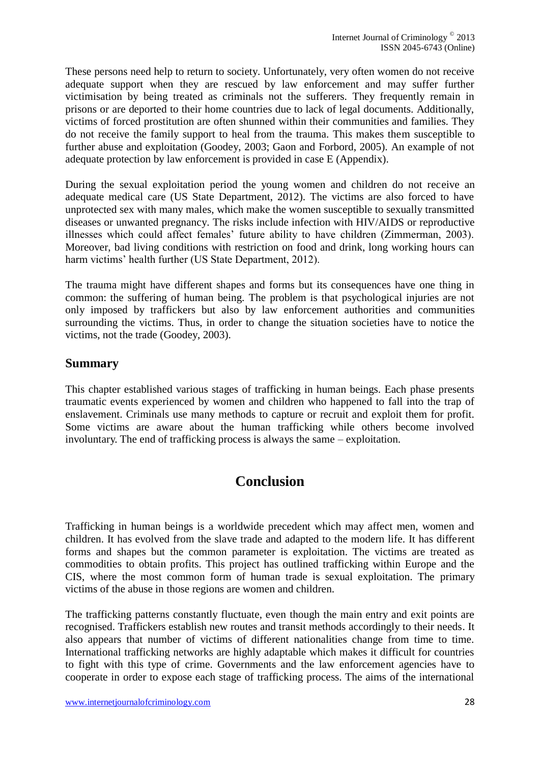These persons need help to return to society. Unfortunately, very often women do not receive adequate support when they are rescued by law enforcement and may suffer further victimisation by being treated as criminals not the sufferers. They frequently remain in prisons or are deported to their home countries due to lack of legal documents. Additionally, victims of forced prostitution are often shunned within their communities and families. They do not receive the family support to heal from the trauma. This makes them susceptible to further abuse and exploitation (Goodey, 2003; Gaon and Forbord, 2005). An example of not adequate protection by law enforcement is provided in case E (Appendix).

During the sexual exploitation period the young women and children do not receive an adequate medical care (US State Department, 2012). The victims are also forced to have unprotected sex with many males, which make the women susceptible to sexually transmitted diseases or unwanted pregnancy. The risks include infection with HIV/AIDS or reproductive illnesses which could affect females' future ability to have children (Zimmerman, 2003). Moreover, bad living conditions with restriction on food and drink, long working hours can harm victims' health further (US State Department, 2012).

The trauma might have different shapes and forms but its consequences have one thing in common: the suffering of human being. The problem is that psychological injuries are not only imposed by traffickers but also by law enforcement authorities and communities surrounding the victims. Thus, in order to change the situation societies have to notice the victims, not the trade (Goodey, 2003).

#### **Summary**

This chapter established various stages of trafficking in human beings. Each phase presents traumatic events experienced by women and children who happened to fall into the trap of enslavement. Criminals use many methods to capture or recruit and exploit them for profit. Some victims are aware about the human trafficking while others become involved involuntary. The end of trafficking process is always the same – exploitation.

# **Conclusion**

<span id="page-27-0"></span>Trafficking in human beings is a worldwide precedent which may affect men, women and children. It has evolved from the slave trade and adapted to the modern life. It has different forms and shapes but the common parameter is exploitation. The victims are treated as commodities to obtain profits. This project has outlined trafficking within Europe and the CIS, where the most common form of human trade is sexual exploitation. The primary victims of the abuse in those regions are women and children.

The trafficking patterns constantly fluctuate, even though the main entry and exit points are recognised. Traffickers establish new routes and transit methods accordingly to their needs. It also appears that number of victims of different nationalities change from time to time. International trafficking networks are highly adaptable which makes it difficult for countries to fight with this type of crime. Governments and the law enforcement agencies have to cooperate in order to expose each stage of trafficking process. The aims of the international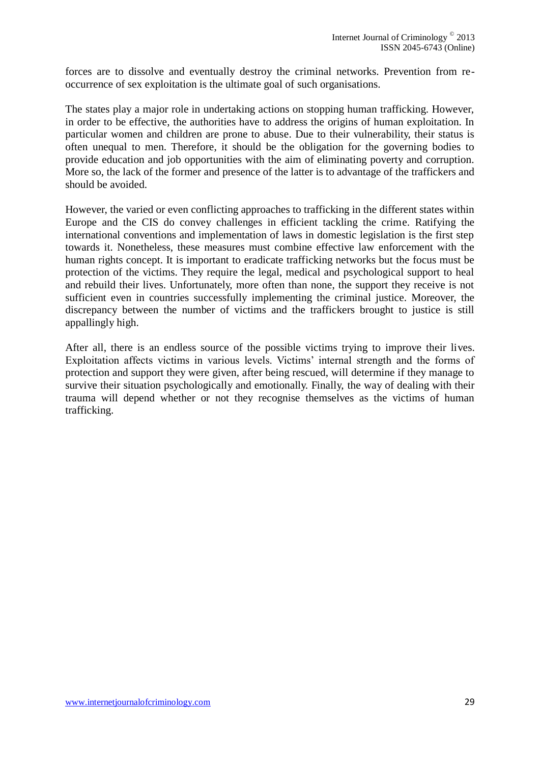forces are to dissolve and eventually destroy the criminal networks. Prevention from reoccurrence of sex exploitation is the ultimate goal of such organisations.

The states play a major role in undertaking actions on stopping human trafficking. However, in order to be effective, the authorities have to address the origins of human exploitation. In particular women and children are prone to abuse. Due to their vulnerability, their status is often unequal to men. Therefore, it should be the obligation for the governing bodies to provide education and job opportunities with the aim of eliminating poverty and corruption. More so, the lack of the former and presence of the latter is to advantage of the traffickers and should be avoided.

However, the varied or even conflicting approaches to trafficking in the different states within Europe and the CIS do convey challenges in efficient tackling the crime. Ratifying the international conventions and implementation of laws in domestic legislation is the first step towards it. Nonetheless, these measures must combine effective law enforcement with the human rights concept. It is important to eradicate trafficking networks but the focus must be protection of the victims. They require the legal, medical and psychological support to heal and rebuild their lives. Unfortunately, more often than none, the support they receive is not sufficient even in countries successfully implementing the criminal justice. Moreover, the discrepancy between the number of victims and the traffickers brought to justice is still appallingly high.

After all, there is an endless source of the possible victims trying to improve their lives. Exploitation affects victims in various levels. Victims' internal strength and the forms of protection and support they were given, after being rescued, will determine if they manage to survive their situation psychologically and emotionally. Finally, the way of dealing with their trauma will depend whether or not they recognise themselves as the victims of human trafficking.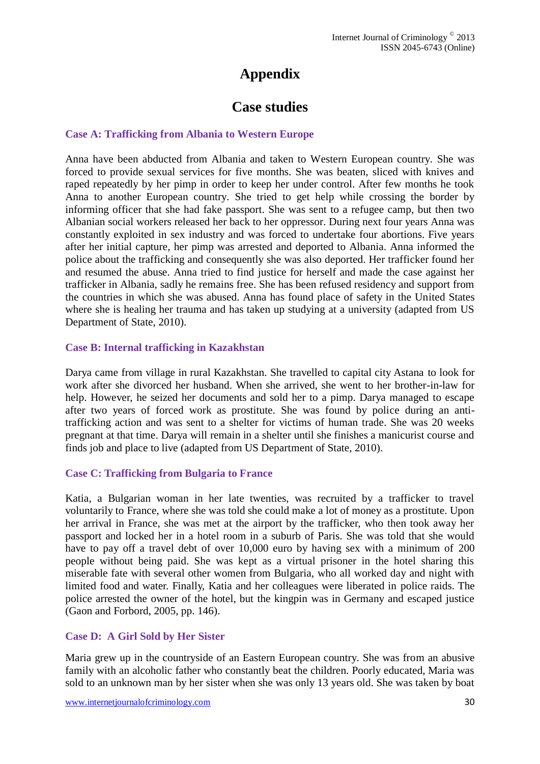# **Appendix**

# **Case studies**

#### <span id="page-29-0"></span>**Case A: Trafficking from Albania to Western Europe**

Anna have been abducted from Albania and taken to Western European country. She was forced to provide sexual services for five months. She was beaten, sliced with knives and raped repeatedly by her pimp in order to keep her under control. After few months he took Anna to another European country. She tried to get help while crossing the border by informing officer that she had fake passport. She was sent to a refugee camp, but then two Albanian social workers released her back to her oppressor. During next four years Anna was constantly exploited in sex industry and was forced to undertake four abortions. Five years after her initial capture, her pimp was arrested and deported to Albania. Anna informed the police about the trafficking and consequently she was also deported. Her trafficker found her and resumed the abuse. Anna tried to find justice for herself and made the case against her trafficker in Albania, sadly he remains free. She has been refused residency and support from the countries in which she was abused. Anna has found place of safety in the United States where she is healing her trauma and has taken up studying at a university (adapted from US Department of State, 2010).

#### **Case B: Internal trafficking in Kazakhstan**

Darya came from village in rural Kazakhstan. She travelled to capital city Astana to look for work after she divorced her husband. When she arrived, she went to her brother-in-law for help. However, he seized her documents and sold her to a pimp. Darya managed to escape after two years of forced work as prostitute. She was found by police during an antitrafficking action and was sent to a shelter for victims of human trade. She was 20 weeks pregnant at that time. Darya will remain in a shelter until she finishes a manicurist course and finds job and place to live (adapted from US Department of State, 2010).

#### **Case C: Trafficking from Bulgaria to France**

Katia, a Bulgarian woman in her late twenties, was recruited by a trafficker to travel voluntarily to France, where she was told she could make a lot of money as a prostitute. Upon her arrival in France, she was met at the airport by the trafficker, who then took away her passport and locked her in a hotel room in a suburb of Paris. She was told that she would have to pay off a travel debt of over 10,000 euro by having sex with a minimum of 200 people without being paid. She was kept as a virtual prisoner in the hotel sharing this miserable fate with several other women from Bulgaria, who all worked day and night with limited food and water. Finally, Katia and her colleagues were liberated in police raids. The police arrested the owner of the hotel, but the kingpin was in Germany and escaped justice (Gaon and Forbord, 2005, pp. 146).

#### **Case D: A Girl Sold by Her Sister**

Maria grew up in the countryside of an Eastern European country. She was from an abusive family with an alcoholic father who constantly beat the children. Poorly educated, Maria was sold to an unknown man by her sister when she was only 13 years old. She was taken by boat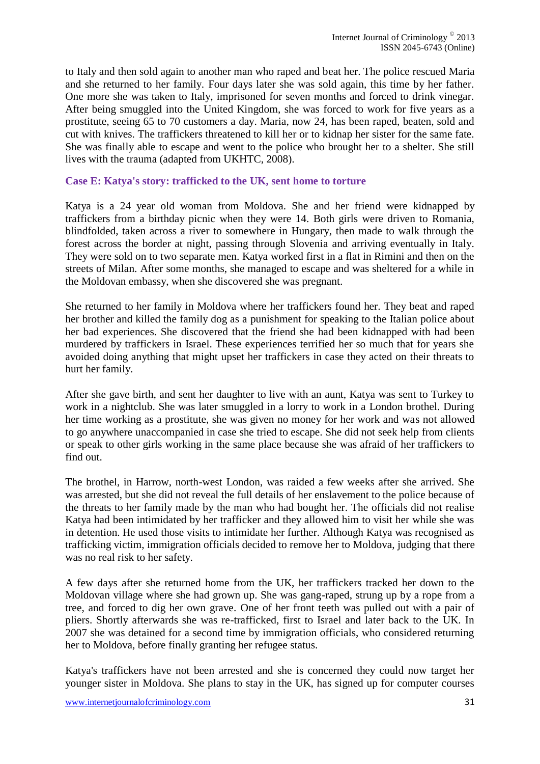to Italy and then sold again to another man who raped and beat her. The police rescued Maria and she returned to her family. Four days later she was sold again, this time by her father. One more she was taken to Italy, imprisoned for seven months and forced to drink vinegar. After being smuggled into the United Kingdom, she was forced to work for five years as a prostitute, seeing 65 to 70 customers a day. Maria, now 24, has been raped, beaten, sold and cut with knives. The traffickers threatened to kill her or to kidnap her sister for the same fate. She was finally able to escape and went to the police who brought her to a shelter. She still lives with the trauma (adapted from UKHTC, 2008).

#### **Case E: Katya's story: trafficked to the UK, sent home to torture**

Katya is a 24 year old woman from Moldova. She and her friend were kidnapped by traffickers from a birthday picnic when they were 14. Both girls were driven to Romania, blindfolded, taken across a river to somewhere in Hungary, then made to walk through the forest across the border at night, passing through Slovenia and arriving eventually in Italy. They were sold on to two separate men. Katya worked first in a flat in Rimini and then on the streets of Milan. After some months, she managed to escape and was sheltered for a while in the Moldovan embassy, when she discovered she was pregnant.

She returned to her family in Moldova where her traffickers found her. They beat and raped her brother and killed the family dog as a punishment for speaking to the Italian police about her bad experiences. She discovered that the friend she had been kidnapped with had been murdered by traffickers in Israel. These experiences terrified her so much that for years she avoided doing anything that might upset her traffickers in case they acted on their threats to hurt her family.

After she gave birth, and sent her daughter to live with an aunt, Katya was sent to Turkey to work in a nightclub. She was later smuggled in a lorry to work in a London brothel. During her time working as a prostitute, she was given no money for her work and was not allowed to go anywhere unaccompanied in case she tried to escape. She did not seek help from clients or speak to other girls working in the same place because she was afraid of her traffickers to find out.

The brothel, in Harrow, north-west London, was raided a few weeks after she arrived. She was arrested, but she did not reveal the full details of her enslavement to the police because of the threats to her family made by the man who had bought her. The officials did not realise Katya had been intimidated by her trafficker and they allowed him to visit her while she was in detention. He used those visits to intimidate her further. Although Katya was recognised as trafficking victim, immigration officials decided to remove her to Moldova, judging that there was no real risk to her safety.

A few days after she returned home from the UK, her traffickers tracked her down to the Moldovan village where she had grown up. She was gang-raped, strung up by a rope from a tree, and forced to dig her own grave. One of her front teeth was pulled out with a pair of pliers. Shortly afterwards she was re-trafficked, first to Israel and later back to the UK. In 2007 she was detained for a second time by immigration officials, who considered returning her to Moldova, before finally granting her refugee status.

Katya's traffickers have not been arrested and she is concerned they could now target her younger sister in Moldova. She plans to stay in the UK, has signed up for computer courses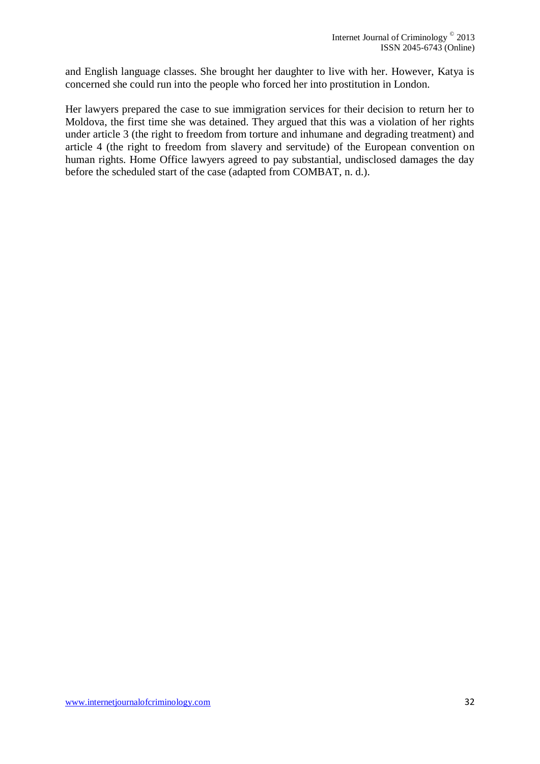and English language classes. She brought her daughter to live with her. However, Katya is concerned she could run into the people who forced her into prostitution in London.

Her lawyers prepared the case to sue immigration services for their decision to return her to Moldova, the first time she was detained. They argued that this was a violation of her rights under article 3 (the right to freedom from torture and inhumane and degrading treatment) and article 4 (the right to freedom from slavery and servitude) of the European convention on human rights. Home Office lawyers agreed to pay substantial, undisclosed damages the day before the scheduled start of the case (adapted from COMBAT, n. d.).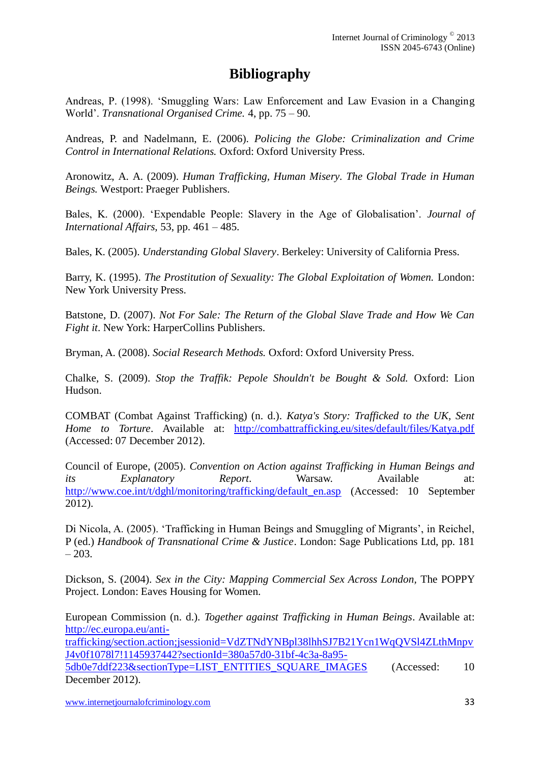# **Bibliography**

<span id="page-32-0"></span>Andreas, P. (1998). 'Smuggling Wars: Law Enforcement and Law Evasion in a Changing World'. *Transnational Organised Crime.* 4, pp. 75 – 90.

Andreas, P. and Nadelmann, E. (2006). *Policing the Globe: Criminalization and Crime Control in International Relations.* Oxford: Oxford University Press.

Aronowitz, A. A. (2009). *Human Trafficking, Human Misery. The Global Trade in Human Beings.* Westport: Praeger Publishers.

Bales, K. (2000). 'Expendable People: Slavery in the Age of Globalisation'. *Journal of International Affairs,* 53, pp. 461 – 485.

Bales, K. (2005). *Understanding Global Slavery*. Berkeley: University of California Press.

Barry, K. (1995). *The Prostitution of Sexuality: The Global Exploitation of Women.* London: New York University Press.

Batstone, D. (2007). *Not For Sale: The Return of the Global Slave Trade and How We Can Fight it*. New York: HarperCollins Publishers.

Bryman, A. (2008). *Social Research Methods.* Oxford: Oxford University Press.

Chalke, S. (2009). *Stop the Traffik: Pepole Shouldn't be Bought & Sold.* Oxford: Lion Hudson.

COMBAT (Combat Against Trafficking) (n. d.). *Katya's Story: Trafficked to the UK, Sent Home to Torture*. Available at: <http://combattrafficking.eu/sites/default/files/Katya.pdf> (Accessed: 07 December 2012).

Council of Europe, (2005). *Convention on Action against Trafficking in Human Beings and its Explanatory Report*. Warsaw. Available at: [http://www.coe.int/t/dghl/monitoring/trafficking/default\\_en.asp](http://www.coe.int/t/dghl/monitoring/trafficking/default_en.asp) (Accessed: 10 September 2012).

Di Nicola, A. (2005). 'Trafficking in Human Beings and Smuggling of Migrants', in Reichel, P (ed.) *Handbook of Transnational Crime & Justice*. London: Sage Publications Ltd, pp. 181  $-203.$ 

Dickson, S. (2004). *Sex in the City: Mapping Commercial Sex Across London,* The POPPY Project. London: Eaves Housing for Women.

European Commission (n. d.). *Together against Trafficking in Human Beings*. Available at: [http://ec.europa.eu/anti](http://ec.europa.eu/anti-trafficking/section.action;jsessionid=VdZTNdYNBpl38lhhSJ7B21Ycn1WqQVSl4ZLthMnpvJ4v0f1078l7!1145937442?sectionId=380a57d0-31bf-4c3a-8a95-5db0e7ddf223§ionType=LIST_ENTITIES_SQUARE_IMAGES)[trafficking/section.action;jsessionid=VdZTNdYNBpl38lhhSJ7B21Ycn1WqQVSl4ZLthMnpv](http://ec.europa.eu/anti-trafficking/section.action;jsessionid=VdZTNdYNBpl38lhhSJ7B21Ycn1WqQVSl4ZLthMnpvJ4v0f1078l7!1145937442?sectionId=380a57d0-31bf-4c3a-8a95-5db0e7ddf223§ionType=LIST_ENTITIES_SQUARE_IMAGES) [J4v0f1078l7!1145937442?sectionId=380a57d0-31bf-4c3a-8a95-](http://ec.europa.eu/anti-trafficking/section.action;jsessionid=VdZTNdYNBpl38lhhSJ7B21Ycn1WqQVSl4ZLthMnpvJ4v0f1078l7!1145937442?sectionId=380a57d0-31bf-4c3a-8a95-5db0e7ddf223§ionType=LIST_ENTITIES_SQUARE_IMAGES) [5db0e7ddf223&sectionType=LIST\\_ENTITIES\\_SQUARE\\_IMAGES](http://ec.europa.eu/anti-trafficking/section.action;jsessionid=VdZTNdYNBpl38lhhSJ7B21Ycn1WqQVSl4ZLthMnpvJ4v0f1078l7!1145937442?sectionId=380a57d0-31bf-4c3a-8a95-5db0e7ddf223§ionType=LIST_ENTITIES_SQUARE_IMAGES) (Accessed: 10) December 2012).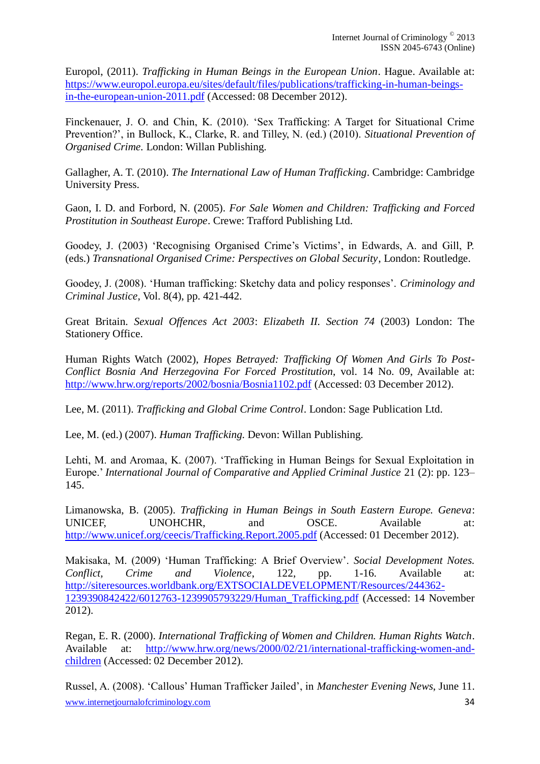Europol, (2011). *Trafficking in Human Beings in the European Union*. Hague. Available at: [https://www.europol.europa.eu/sites/default/files/publications/trafficking-in-human-beings](https://www.europol.europa.eu/sites/default/files/publications/trafficking-in-human-beings-in-the-european-union-2011.pdf)[in-the-european-union-2011.pdf](https://www.europol.europa.eu/sites/default/files/publications/trafficking-in-human-beings-in-the-european-union-2011.pdf) (Accessed: 08 December 2012).

Finckenauer, J. O. and Chin, K. (2010). 'Sex Trafficking: A Target for Situational Crime Prevention?', in Bullock, K., Clarke, R. and Tilley, N. (ed.) (2010). *Situational Prevention of Organised Crime.* London: Willan Publishing.

Gallagher, A. T. (2010). *The International Law of Human Trafficking*. Cambridge: Cambridge University Press.

Gaon, I. D. and Forbord, N. (2005). *For Sale Women and Children: Trafficking and Forced Prostitution in Southeast Europe*. Crewe: Trafford Publishing Ltd.

Goodey, J. (2003) 'Recognising Organised Crime's Victims', in Edwards, A. and Gill, P. (eds.) *Transnational Organised Crime: Perspectives on Global Security*, London: Routledge.

Goodey, J. (2008). 'Human trafficking: Sketchy data and policy responses'. *Criminology and Criminal Justice*, Vol. 8(4), pp. 421-442.

Great Britain. *Sexual Offences Act 2003*: *Elizabeth II. Section 74* (2003) London: The Stationery Office.

Human Rights Watch (2002), *Hopes Betrayed: Trafficking Of Women And Girls To Post-Conflict Bosnia And Herzegovina For Forced Prostitution*, vol. 14 No. 09, Available at: <http://www.hrw.org/reports/2002/bosnia/Bosnia1102.pdf> (Accessed: 03 December 2012).

Lee, M. (2011). *Trafficking and Global Crime Control*. London: Sage Publication Ltd.

Lee, M. (ed.) (2007). *Human Trafficking.* Devon: Willan Publishing.

Lehti, M. and Aromaa, K. (2007). 'Trafficking in Human Beings for Sexual Exploitation in Europe.' *International Journal of Comparative and Applied Criminal Justice* 21 (2): pp. 123– 145.

Limanowska, B. (2005). *Trafficking in Human Beings in South Eastern Europe. Geneva*: UNICEF, UNOHCHR, and OSCE. Available at: <http://www.unicef.org/ceecis/Trafficking.Report.2005.pdf> (Accessed: 01 December 2012).

Makisaka, M. (2009) 'Human Trafficking: A Brief Overview'. *Social Development Notes. Conflict, Crime and Violence*, 122, pp. 1-16. Available at: [http://siteresources.worldbank.org/EXTSOCIALDEVELOPMENT/Resources/244362-](http://siteresources.worldbank.org/EXTSOCIALDEVELOPMENT/Resources/244362-1239390842422/6012763-1239905793229/Human_Trafficking.pdf) [1239390842422/6012763-1239905793229/Human\\_Trafficking.pdf](http://siteresources.worldbank.org/EXTSOCIALDEVELOPMENT/Resources/244362-1239390842422/6012763-1239905793229/Human_Trafficking.pdf) (Accessed: 14 November 2012).

Regan, E. R. (2000). *International Trafficking of Women and Children. Human Rights Watch*. Available at: [http://www.hrw.org/news/2000/02/21/international-trafficking-women-and](http://www.hrw.org/news/2000/02/21/international-trafficking-women-and-children)[children](http://www.hrw.org/news/2000/02/21/international-trafficking-women-and-children) (Accessed: 02 December 2012).

www.internetjournalofcriminology.com 34 Russel, A. (2008). 'Callous' Human Trafficker Jailed', in *Manchester Evening News*, June 11.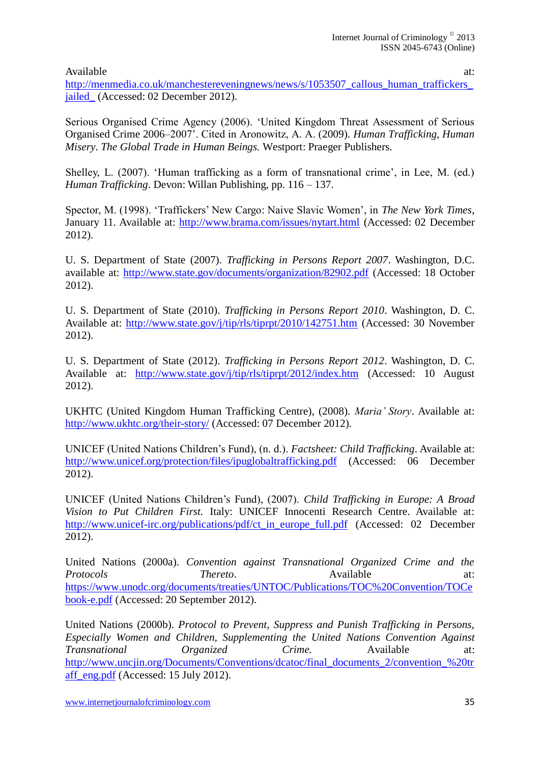Available at:  $\alpha$ 

[http://menmedia.co.uk/manchestereveningnews/news/s/1053507\\_callous\\_human\\_traffickers\\_](http://menmedia.co.uk/manchestereveningnews/news/s/1053507_callous_human_traffickers_jailed_) jailed (Accessed: 02 December 2012).

Serious Organised Crime Agency (2006). 'United Kingdom Threat Assessment of Serious Organised Crime 2006–2007'. Cited in Aronowitz, A. A. (2009). *Human Trafficking, Human Misery. The Global Trade in Human Beings.* Westport: Praeger Publishers.

Shelley, L. (2007). 'Human trafficking as a form of transnational crime', in Lee, M. (ed.) *Human Trafficking*. Devon: Willan Publishing, pp. 116 – 137.

Spector, M. (1998). 'Traffickers' New Cargo: Naive Slavic Women', in *The New York Times*, January 11. Available at:<http://www.brama.com/issues/nytart.html> (Accessed: 02 December 2012).

U. S. Department of State (2007). *Trafficking in Persons Report 2007*. Washington, D.C. available at:<http://www.state.gov/documents/organization/82902.pdf> (Accessed: 18 October 2012).

U. S. Department of State (2010). *Trafficking in Persons Report 2010*. Washington, D. C. Available at:<http://www.state.gov/j/tip/rls/tiprpt/2010/142751.htm> (Accessed: 30 November 2012).

U. S. Department of State (2012). *Trafficking in Persons Report 2012*. Washington, D. C. Available at: <http://www.state.gov/j/tip/rls/tiprpt/2012/index.htm> (Accessed: 10 August 2012).

UKHTC (United Kingdom Human Trafficking Centre), (2008). *Maria' Story*. Available at: <http://www.ukhtc.org/their-story/> (Accessed: 07 December 2012).

UNICEF (United Nations Children's Fund), (n. d.). *Factsheet: Child Trafficking*. Available at: <http://www.unicef.org/protection/files/ipuglobaltrafficking.pdf> (Accessed: 06 December 2012).

UNICEF (United Nations Children's Fund), (2007). *Child Trafficking in Europe: A Broad Vision to Put Children First.* Italy: UNICEF Innocenti Research Centre. Available at: [http://www.unicef-irc.org/publications/pdf/ct\\_in\\_europe\\_full.pdf](http://www.unicef-irc.org/publications/pdf/ct_in_europe_full.pdf) (Accessed: 02 December 2012).

United Nations (2000a). *Convention against Transnational Organized Crime and the Protocols* **Thereto**. Available at: [https://www.unodc.org/documents/treaties/UNTOC/Publications/TOC%20Convention/TOCe](https://www.unodc.org/documents/treaties/UNTOC/Publications/TOC%20Convention/TOCebook-e.pdf) [book-e.pdf](https://www.unodc.org/documents/treaties/UNTOC/Publications/TOC%20Convention/TOCebook-e.pdf) (Accessed: 20 September 2012).

United Nations (2000b). *Protocol to Prevent, Suppress and Punish Trafficking in Persons, Especially Women and Children, Supplementing the United Nations Convention Against Transnational Organized Crime.* Available at: [http://www.uncjin.org/Documents/Conventions/dcatoc/final\\_documents\\_2/convention\\_%20tr](http://www.uncjin.org/Documents/Conventions/dcatoc/final_documents_2/convention_%20traff_eng.pdf) [aff\\_eng.pdf](http://www.uncjin.org/Documents/Conventions/dcatoc/final_documents_2/convention_%20traff_eng.pdf) (Accessed: 15 July 2012).